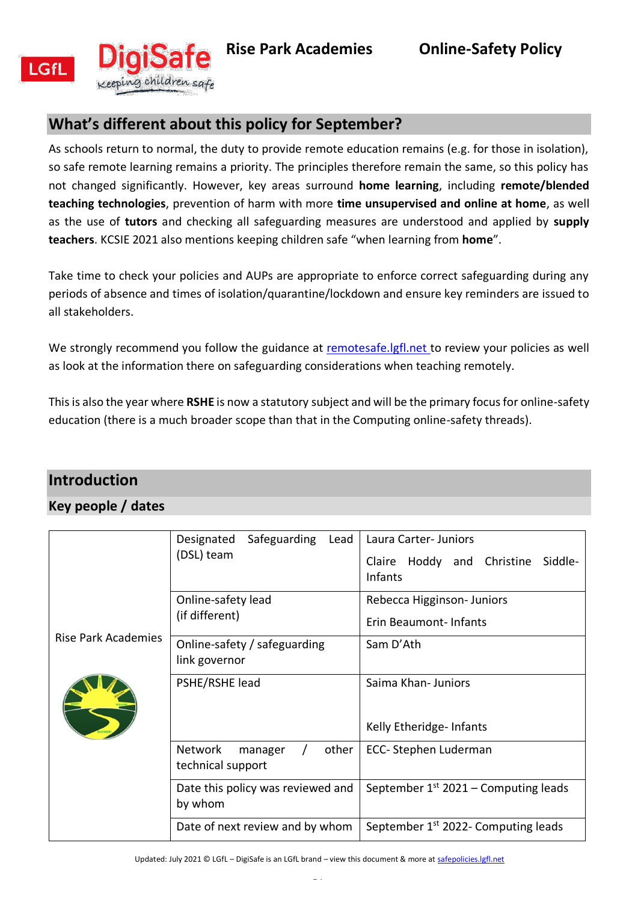<span id="page-0-0"></span>



# **What's different about this policy for September?**

As schools return to normal, the duty to provide remote education remains (e.g. for those in isolation), so safe remote learning remains a priority. The principles therefore remain the same, so this policy has not changed significantly. However, key areas surround **home learning**, including **remote/blended teaching technologies**, prevention of harm with more **time unsupervised and online at home**, as well as the use of **tutors** and checking all safeguarding measures are understood and applied by **supply teachers**. KCSIE 2021 also mentions keeping children safe "when learning from **home**".

Take time to check your policies and AUPs are appropriate to enforce correct safeguarding during any periods of absence and times of isolation/quarantine/lockdown and ensure key reminders are issued to all stakeholders.

We strongly recommend you follow the guidance at remotesafe. Igfl.net to review your policies as well as look at the information there on safeguarding considerations when teaching remotely.

This is also the year where **RSHE** is now a statutory subject and will be the primary focus for online-safety education (there is a much broader scope than that in the Computing online-safety threads).

# <span id="page-0-1"></span>**Introduction**

### <span id="page-0-2"></span>**Key people / dates**

| Rise Park Academies | Safeguarding<br>Designated<br>Lead<br>(DSL) team        | Laura Carter- Juniors<br>Claire Hoddy and Christine Siddle-<br><b>Infants</b> |
|---------------------|---------------------------------------------------------|-------------------------------------------------------------------------------|
|                     | Online-safety lead<br>(if different)                    | Rebecca Higginson-Juniors<br>Erin Beaumont-Infants                            |
|                     | Online-safety / safeguarding<br>link governor           | Sam D'Ath                                                                     |
|                     | PSHE/RSHE lead                                          | Saima Khan-Juniors                                                            |
|                     |                                                         | Kelly Etheridge-Infants                                                       |
|                     | <b>Network</b><br>other<br>manager<br>technical support | ECC-Stephen Luderman                                                          |
|                     | Date this policy was reviewed and<br>by whom            | September $1st 2021$ – Computing leads                                        |
|                     | Date of next review and by whom                         | September 1 <sup>st</sup> 2022- Computing leads                               |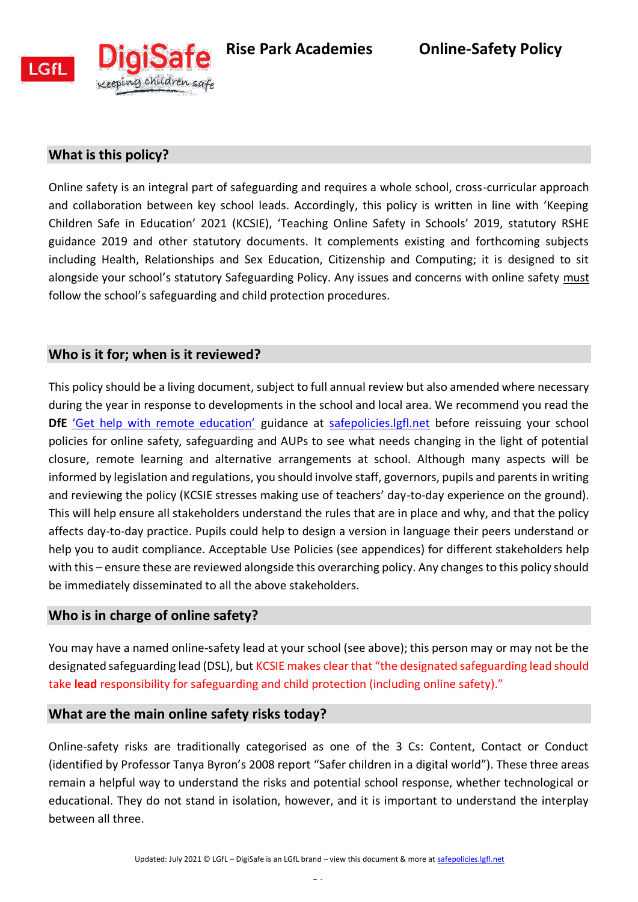



## <span id="page-1-0"></span>**What is this policy?**

Online safety is an integral part of safeguarding and requires a whole school, cross-curricular approach and collaboration between key school leads. Accordingly, this policy is written in line with 'Keeping Children Safe in Education' 2021 (KCSIE), 'Teaching Online Safety in Schools' 2019, statutory RSHE guidance 2019 and other statutory documents. It complements existing and forthcoming subjects including Health, Relationships and Sex Education, Citizenship and Computing; it is designed to sit alongside your school's statutory Safeguarding Policy. Any issues and concerns with online safety must follow the school's safeguarding and child protection procedures.

### <span id="page-1-1"></span>**Who is it for; when is it reviewed?**

This policy should be a living document, subject to full annual review but also amended where necessary during the year in response to developments in the school and local area. We recommend you read the **DfE** ['Get help with remote education'](https://get-help-with-remote-education.education.gov.uk/) guidance at [safepolicies.lgfl.net](https://safepolicies.lgfl.net/) before reissuing your school policies for online safety, safeguarding and AUPs to see what needs changing in the light of potential closure, remote learning and alternative arrangements at school. Although many aspects will be informed by legislation and regulations, you should involve staff, governors, pupils and parents in writing and reviewing the policy (KCSIE stresses making use of teachers' day-to-day experience on the ground). This will help ensure all stakeholders understand the rules that are in place and why, and that the policy affects day-to-day practice. Pupils could help to design a version in language their peers understand or help you to audit compliance. Acceptable Use Policies (see appendices) for different stakeholders help with this – ensure these are reviewed alongside this overarching policy. Any changes to this policy should be immediately disseminated to all the above stakeholders.

### <span id="page-1-2"></span>**Who is in charge of online safety?**

You may have a named online-safety lead at your school (see above); this person may or may not be the designated safeguarding lead (DSL), but KCSIE makes clear that "the designated safeguarding lead should take **lead** responsibility for safeguarding and child protection (including online safety)."

#### <span id="page-1-3"></span>**What are the main online safety risks today?**

Online-safety risks are traditionally categorised as one of the 3 Cs: Content, Contact or Conduct (identified by Professor Tanya Byron's 2008 report "Safer children in a digital world"). These three areas remain a helpful way to understand the risks and potential school response, whether technological or educational. They do not stand in isolation, however, and it is important to understand the interplay between all three.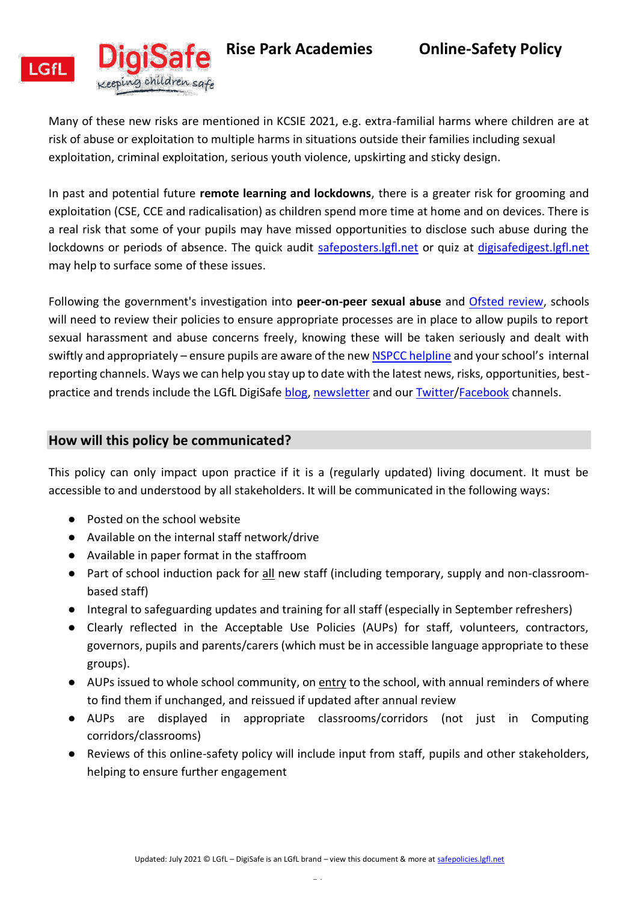



Many of these new risks are mentioned in KCSIE 2021, e.g. extra-familial harms where children are at risk of abuse or exploitation to multiple harms in situations outside their families including sexual exploitation, criminal exploitation, serious youth violence, upskirting and sticky design.

In past and potential future **remote learning and lockdowns**, there is a greater risk for grooming and exploitation (CSE, CCE and radicalisation) as children spend more time at home and on devices. There is a real risk that some of your pupils may have missed opportunities to disclose such abuse during the lockdowns or periods of absence. The quick audit safeposters. Igfl.net or quiz at digisafedigest. Igfl.net may help to surface some of these issues.

Following the government's investigation into **peer-on-peer sexual abuse** and [Ofsted review,](https://www.gov.uk/government/publications/review-of-sexual-abuse-in-schools-and-colleges/review-of-sexual-abuse-in-schools-and-colleges) schools will need to review their policies to ensure appropriate processes are in place to allow pupils to report sexual harassment and abuse concerns freely, knowing these will be taken seriously and dealt with swiftly and appropriately – ensure pupils are aware of the ne[w NSPCC helpline](https://www.nspcc.org.uk/about-us/news-opinion/2021/sexual-abuse-victims-schools-helpline/) and your school's internal reporting channels. Ways we can help you stay up to date with the latest news, risks, opportunities, bestpractice and trends include the LGfL DigiSafe [blog,](https://safeblog.lgfl.net/) [newsletter](https://safenewsletter.lgfl.net/) and our [Twitter](https://twitter.com/lgfldigisafe)[/Facebook](https://www.facebook.com/lgfldigisafe/) channels.

#### <span id="page-2-0"></span>**How will this policy be communicated?**

This policy can only impact upon practice if it is a (regularly updated) living document. It must be accessible to and understood by all stakeholders. It will be communicated in the following ways:

- Posted on the school website
- Available on the internal staff network/drive
- Available in paper format in the staffroom
- Part of school induction pack for all new staff (including temporary, supply and non-classroombased staff)
- Integral to safeguarding updates and training for all staff (especially in September refreshers)
- Clearly reflected in the Acceptable Use Policies (AUPs) for staff, volunteers, contractors, governors, pupils and parents/carers (which must be in accessible language appropriate to these groups).
- AUPs issued to whole school community, on entry to the school, with annual reminders of where to find them if unchanged, and reissued if updated after annual review
- AUPs are displayed in appropriate classrooms/corridors (not just in Computing corridors/classrooms)
- Reviews of this online-safety policy will include input from staff, pupils and other stakeholders, helping to ensure further engagement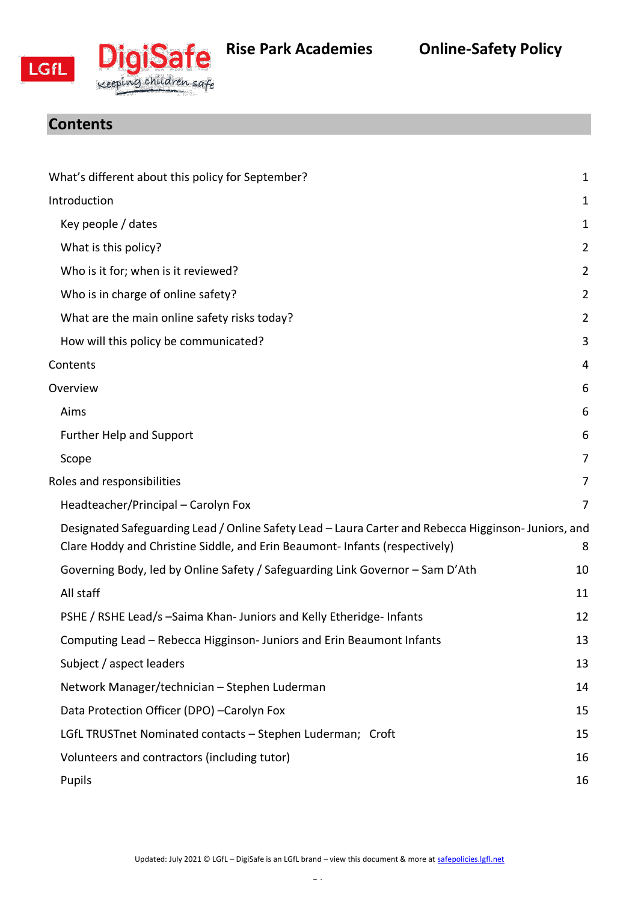



# <span id="page-3-0"></span>**Rise Park Academies Online-Safety Policy**

# **Contents**

| What's different about this policy for September?                                                                                                                                 | $\mathbf{1}$   |
|-----------------------------------------------------------------------------------------------------------------------------------------------------------------------------------|----------------|
| Introduction                                                                                                                                                                      | 1              |
| Key people / dates                                                                                                                                                                | 1              |
| What is this policy?                                                                                                                                                              | $\overline{2}$ |
| Who is it for; when is it reviewed?                                                                                                                                               | $\overline{2}$ |
| Who is in charge of online safety?                                                                                                                                                | $\overline{2}$ |
| What are the main online safety risks today?                                                                                                                                      | $\overline{2}$ |
| How will this policy be communicated?                                                                                                                                             | 3              |
| Contents                                                                                                                                                                          | 4              |
| Overview                                                                                                                                                                          | 6              |
| Aims                                                                                                                                                                              | 6              |
| <b>Further Help and Support</b>                                                                                                                                                   | 6              |
| Scope                                                                                                                                                                             | 7              |
| Roles and responsibilities                                                                                                                                                        | 7              |
| Headteacher/Principal - Carolyn Fox                                                                                                                                               | 7              |
| Designated Safeguarding Lead / Online Safety Lead - Laura Carter and Rebecca Higginson-Juniors, and<br>Clare Hoddy and Christine Siddle, and Erin Beaumont-Infants (respectively) | 8              |
| Governing Body, led by Online Safety / Safeguarding Link Governor - Sam D'Ath                                                                                                     | 10             |
| All staff                                                                                                                                                                         | 11             |
| PSHE / RSHE Lead/s -Saima Khan- Juniors and Kelly Etheridge- Infants                                                                                                              | 12             |
| Computing Lead - Rebecca Higginson- Juniors and Erin Beaumont Infants                                                                                                             | 13             |
| Subject / aspect leaders                                                                                                                                                          | 13             |
| Network Manager/technician - Stephen Luderman                                                                                                                                     | 14             |
| Data Protection Officer (DPO) -Carolyn Fox                                                                                                                                        | 15             |
| LGfL TRUSTnet Nominated contacts - Stephen Luderman; Croft                                                                                                                        | 15             |
| Volunteers and contractors (including tutor)                                                                                                                                      | 16             |
| Pupils                                                                                                                                                                            | 16             |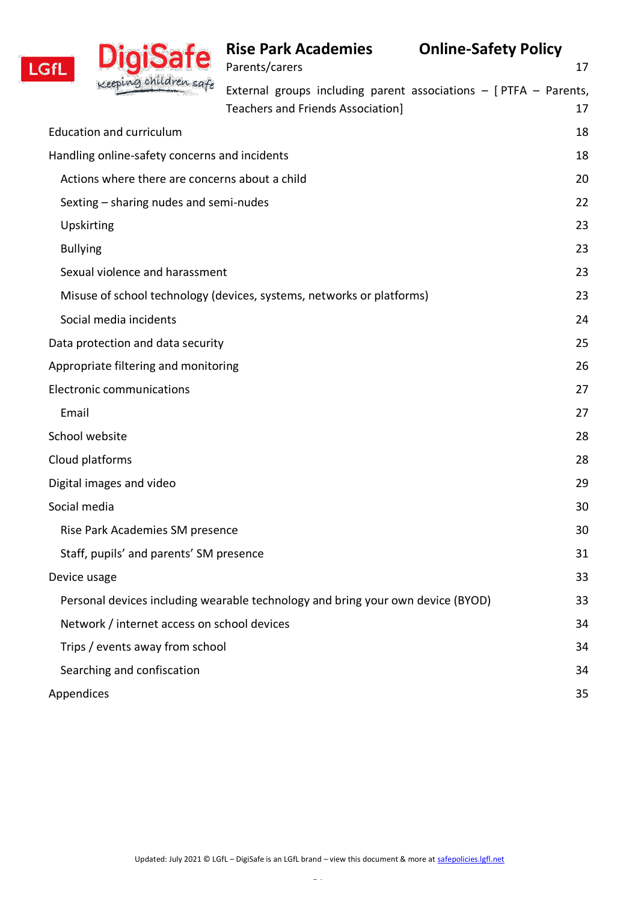| <b>LGfL</b>                                                                     | DigiSate                                      | <b>Rise Park Academies</b><br>Parents/carers | <b>Online-Safety Policy</b>                                          | 17 |
|---------------------------------------------------------------------------------|-----------------------------------------------|----------------------------------------------|----------------------------------------------------------------------|----|
|                                                                                 |                                               | Teachers and Friends Association]            | External groups including parent associations $-$ [PTFA $-$ Parents, | 17 |
|                                                                                 | <b>Education and curriculum</b>               |                                              |                                                                      | 18 |
|                                                                                 | Handling online-safety concerns and incidents |                                              |                                                                      | 18 |
| Actions where there are concerns about a child                                  |                                               |                                              |                                                                      | 20 |
| Sexting – sharing nudes and semi-nudes                                          |                                               |                                              |                                                                      | 22 |
|                                                                                 | Upskirting                                    |                                              |                                                                      | 23 |
| <b>Bullying</b>                                                                 |                                               |                                              |                                                                      |    |
| Sexual violence and harassment                                                  |                                               |                                              |                                                                      | 23 |
| Misuse of school technology (devices, systems, networks or platforms)           |                                               |                                              |                                                                      | 23 |
| Social media incidents                                                          |                                               |                                              |                                                                      | 24 |
| Data protection and data security                                               |                                               |                                              |                                                                      | 25 |
| Appropriate filtering and monitoring                                            |                                               |                                              |                                                                      | 26 |
| <b>Electronic communications</b>                                                |                                               |                                              |                                                                      | 27 |
| Email                                                                           |                                               |                                              |                                                                      | 27 |
| School website                                                                  |                                               |                                              |                                                                      | 28 |
| Cloud platforms                                                                 |                                               |                                              |                                                                      | 28 |
| Digital images and video                                                        |                                               |                                              |                                                                      | 29 |
| Social media                                                                    |                                               |                                              |                                                                      | 30 |
| Rise Park Academies SM presence                                                 |                                               |                                              |                                                                      | 30 |
| Staff, pupils' and parents' SM presence                                         |                                               |                                              |                                                                      | 31 |
| Device usage                                                                    |                                               |                                              |                                                                      | 33 |
| Personal devices including wearable technology and bring your own device (BYOD) |                                               |                                              |                                                                      | 33 |
| Network / internet access on school devices                                     |                                               |                                              |                                                                      | 34 |
| Trips / events away from school                                                 |                                               |                                              |                                                                      |    |
| Searching and confiscation                                                      |                                               |                                              |                                                                      | 34 |
| Appendices                                                                      |                                               |                                              |                                                                      | 35 |
|                                                                                 |                                               |                                              |                                                                      |    |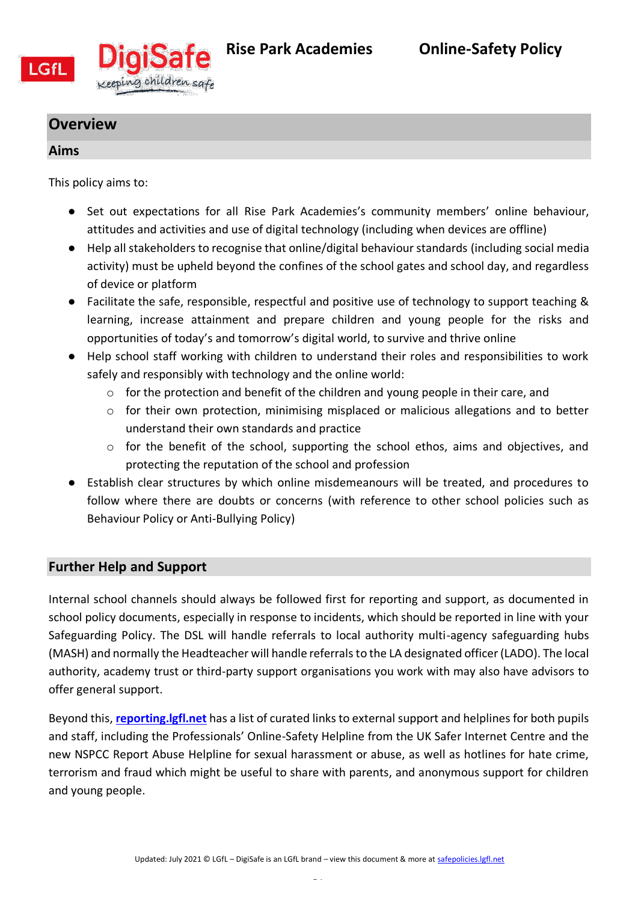

<span id="page-5-0"></span>

# **Overview**

## <span id="page-5-1"></span>**Aims**

This policy aims to:

- Set out expectations for all Rise Park Academies's community members' online behaviour, attitudes and activities and use of digital technology (including when devices are offline)
- Help all stakeholders to recognise that online/digital behaviour standards (including social media activity) must be upheld beyond the confines of the school gates and school day, and regardless of device or platform
- Facilitate the safe, responsible, respectful and positive use of technology to support teaching & learning, increase attainment and prepare children and young people for the risks and opportunities of today's and tomorrow's digital world, to survive and thrive online
- Help school staff working with children to understand their roles and responsibilities to work safely and responsibly with technology and the online world:
	- o for the protection and benefit of the children and young people in their care, and
	- o for their own protection, minimising misplaced or malicious allegations and to better understand their own standards and practice
	- $\circ$  for the benefit of the school, supporting the school ethos, aims and objectives, and protecting the reputation of the school and profession
- Establish clear structures by which online misdemeanours will be treated, and procedures to follow where there are doubts or concerns (with reference to other school policies such as Behaviour Policy or Anti-Bullying Policy)

# <span id="page-5-2"></span>**Further Help and Support**

Internal school channels should always be followed first for reporting and support, as documented in school policy documents, especially in response to incidents, which should be reported in line with your Safeguarding Policy. The DSL will handle referrals to local authority multi-agency safeguarding hubs (MASH) and normally the Headteacher will handle referrals to the LA designated officer (LADO). The local authority, academy trust or third-party support organisations you work with may also have advisors to offer general support.

Beyond this, **[reporting.lgfl.net](https://reporting.lgfl.net/)** has a list of curated links to external support and helplines for both pupils and staff, including the Professionals' Online-Safety Helpline from the UK Safer Internet Centre and the new NSPCC Report Abuse Helpline for sexual harassment or abuse, as well as hotlines for hate crime, terrorism and fraud which might be useful to share with parents, and anonymous support for children and young people.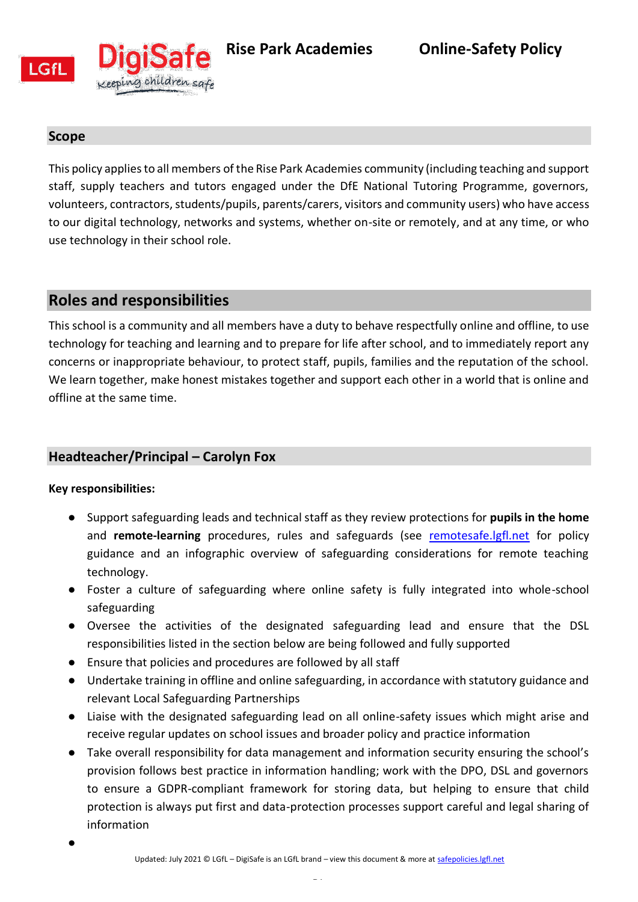

<span id="page-6-0"></span>

### **Scope**

This policy applies to all members of the Rise Park Academies community (including teaching and support staff, supply teachers and tutors engaged under the DfE National Tutoring Programme, governors, volunteers, contractors, students/pupils, parents/carers, visitors and community users) who have access to our digital technology, networks and systems, whether on-site or remotely, and at any time, or who use technology in their school role.

# <span id="page-6-1"></span>**Roles and responsibilities**

This school is a community and all members have a duty to behave respectfully online and offline, to use technology for teaching and learning and to prepare for life after school, and to immediately report any concerns or inappropriate behaviour, to protect staff, pupils, families and the reputation of the school. We learn together, make honest mistakes together and support each other in a world that is online and offline at the same time.

# <span id="page-6-2"></span>**Headteacher/Principal – Carolyn Fox**

- Support safeguarding leads and technical staff as they review protections for **pupils in the home** and **remote-learning** procedures, rules and safeguards (see [remotesafe.lgfl.net](https://national.lgfl.net/digisafe/safe-remote-learning) for policy guidance and an infographic overview of safeguarding considerations for remote teaching technology.
- Foster a culture of safeguarding where online safety is fully integrated into whole-school safeguarding
- Oversee the activities of the designated safeguarding lead and ensure that the DSL responsibilities listed in the section below are being followed and fully supported
- Ensure that policies and procedures are followed by all staff
- Undertake training in offline and online safeguarding, in accordance with statutory guidance and relevant Local Safeguarding Partnerships
- Liaise with the designated safeguarding lead on all online-safety issues which might arise and receive regular updates on school issues and broader policy and practice information
- Take overall responsibility for data management and information security ensuring the school's provision follows best practice in information handling; work with the DPO, DSL and governors to ensure a GDPR-compliant framework for storing data, but helping to ensure that child protection is always put first and data-protection processes support careful and legal sharing of information
- $\bullet$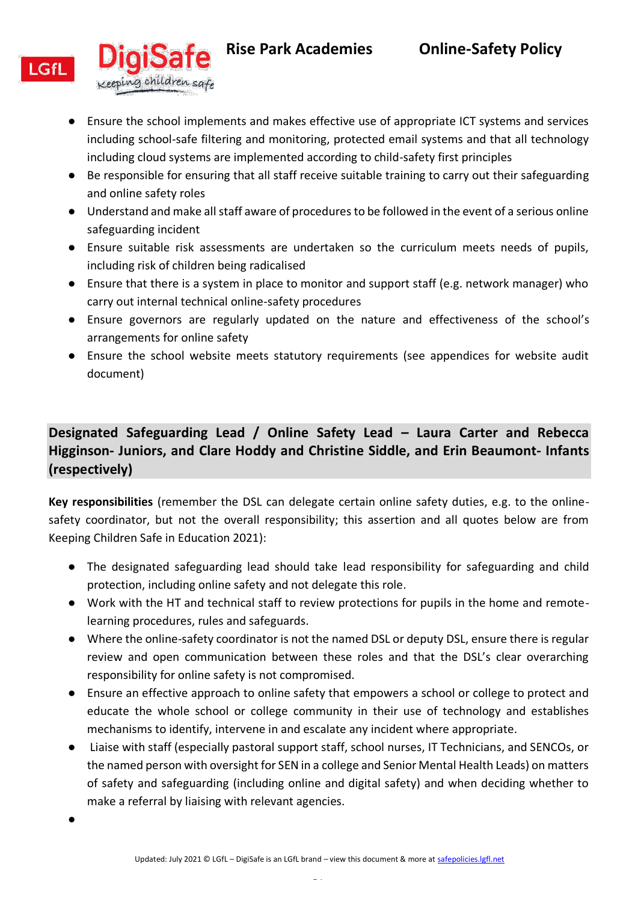

Keeping children safe

# **Rise Park Academies Online-Safety Policy**

● Ensure the school implements and makes effective use of appropriate ICT systems and services including school-safe filtering and monitoring, protected email systems and that all technology including cloud systems are implemented according to child-safety first principles

- Be responsible for ensuring that all staff receive suitable training to carry out their safeguarding and online safety roles
- Understand and make all staff aware of procedures to be followed in the event of a serious online safeguarding incident
- Ensure suitable risk assessments are undertaken so the curriculum meets needs of pupils, including risk of children being radicalised
- Ensure that there is a system in place to monitor and support staff (e.g. network manager) who carry out internal technical online-safety procedures
- Ensure governors are regularly updated on the nature and effectiveness of the school's arrangements for online safety
- Ensure the school website meets statutory requirements (see appendices for website audit document)

# <span id="page-7-0"></span>**Designated Safeguarding Lead / Online Safety Lead – Laura Carter and Rebecca Higginson- Juniors, and Clare Hoddy and Christine Siddle, and Erin Beaumont- Infants (respectively)**

**Key responsibilities** (remember the DSL can delegate certain online safety duties, e.g. to the onlinesafety coordinator, but not the overall responsibility; this assertion and all quotes below are from Keeping Children Safe in Education 2021):

- The designated safeguarding lead should take lead responsibility for safeguarding and child protection, including online safety and not delegate this role.
- Work with the HT and technical staff to review protections for pupils in the home and remotelearning procedures, rules and safeguards.
- Where the online-safety coordinator is not the named DSL or deputy DSL, ensure there is regular review and open communication between these roles and that the DSL's clear overarching responsibility for online safety is not compromised.
- Ensure an effective approach to online safety that empowers a school or college to protect and educate the whole school or college community in their use of technology and establishes mechanisms to identify, intervene in and escalate any incident where appropriate.
- Liaise with staff (especially pastoral support staff, school nurses, IT Technicians, and SENCOs, or the named person with oversight for SEN in a college and Senior Mental Health Leads) on matters of safety and safeguarding (including online and digital safety) and when deciding whether to make a referral by liaising with relevant agencies.

 $\bullet$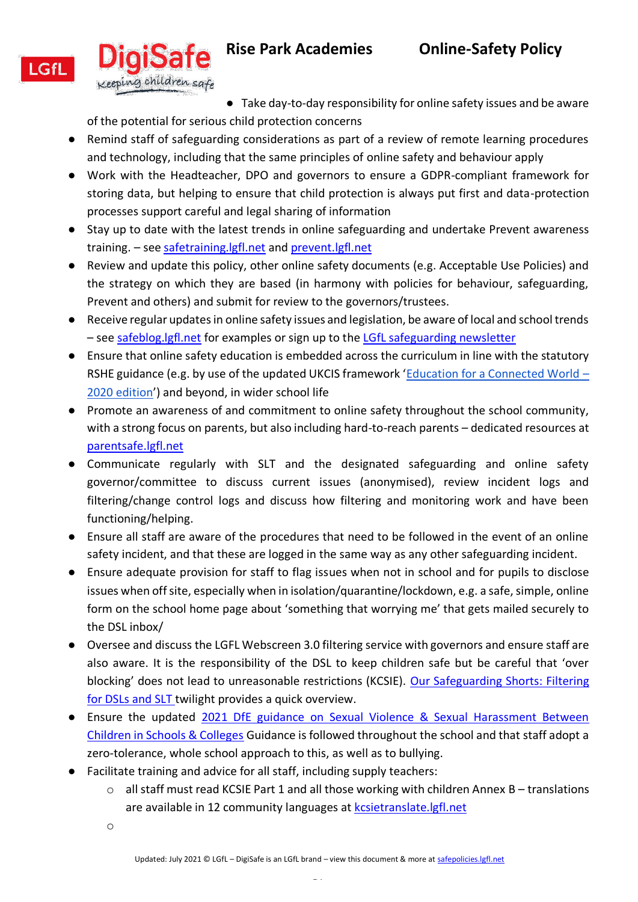



● Take day-to-day responsibility for online safety issues and be aware of the potential for serious child protection concerns

- Remind staff of safeguarding considerations as part of a review of remote learning procedures and technology, including that the same principles of online safety and behaviour apply
- Work with the Headteacher, DPO and governors to ensure a GDPR-compliant framework for storing data, but helping to ensure that child protection is always put first and data-protection processes support careful and legal sharing of information
- Stay up to date with the latest trends in online safeguarding and undertake Prevent awareness training. – see [safetraining.lgfl.net](https://www.lgfl.net/training/default.aspx?c=dac7c0c1-07ef-46f9-98a7-f6d6a8c3d62b) and [prevent.lgfl.net](https://prevent.lgfl.net/)
- Review and update this policy, other online safety documents (e.g. Acceptable Use Policies) and the strategy on which they are based (in harmony with policies for behaviour, safeguarding, Prevent and others) and submit for review to the governors/trustees.
- Receive regular updates in online safety issues and legislation, be aware of local and school trends – see [safeblog.lgfl.net](https://safeblog.lgfl.net/) for examples or sign up to the [LGfL safeguarding newsletter](https://safenewsletter.lgfl.net/)
- Ensure that online safety education is embedded across the curriculum in line with the statutory RSHE guidance (e.g. by use of the updated UKCIS framework '[Education for a Connected World](https://assets.publishing.service.gov.uk/government/uploads/system/uploads/attachment_data/file/896323/UKCIS_Education_for_a_Connected_World_.pdf) – [2020 edition](https://assets.publishing.service.gov.uk/government/uploads/system/uploads/attachment_data/file/896323/UKCIS_Education_for_a_Connected_World_.pdf)') and beyond, in wider school life
- Promote an awareness of and commitment to online safety throughout the school community, with a strong focus on parents, but also including hard-to-reach parents – dedicated resources at [parentsafe.lgfl.net](https://parentsafe.lgfl.net/)
- Communicate regularly with SLT and the designated safeguarding and online safety governor/committee to discuss current issues (anonymised), review incident logs and filtering/change control logs and discuss how filtering and monitoring work and have been functioning/helping.
- Ensure all staff are aware of the procedures that need to be followed in the event of an online safety incident, and that these are logged in the same way as any other safeguarding incident.
- Ensure adequate provision for staff to flag issues when not in school and for pupils to disclose issues when off site, especially when in isolation/quarantine/lockdown, e.g. a safe, simple, online form on the school home page about 'something that worrying me' that gets mailed securely to the DSL inbox/
- Oversee and discuss the LGFL Webscreen 3.0 filtering service with governors and ensure staff are also aware. It is the responsibility of the DSL to keep children safe but be careful that 'over blocking' does not lead to unreasonable restrictions (KCSIE). Our [Safeguarding Shorts: Filtering](https://www.lgfl.net/training/dyn/3c9befd2-058a-40fd-aeb8-6d45109b1276)  [for DSLs and SLT](https://www.lgfl.net/training/dyn/3c9befd2-058a-40fd-aeb8-6d45109b1276) twilight provides a quick overview.
- Ensure the updated [2021 DfE guidance on Sexual Violence & Sexual Harassment Between](https://www.gov.uk/government/publications/sexual-violence-and-sexual-harassment-between-children-in-schools-and-colleges)  [Children in Schools & Colleges](https://www.gov.uk/government/publications/sexual-violence-and-sexual-harassment-between-children-in-schools-and-colleges) Guidance is followed throughout the school and that staff adopt a zero-tolerance, whole school approach to this, as well as to bullying.
- Facilitate training and advice for all staff, including supply teachers:
	- $\circ$  all staff must read KCSIE Part 1 and all those working with children Annex B translations are available in 12 community languages a[t kcsietranslate.lgfl.net](https://national.lgfl.net/digisafe/kcsietranslate)
	- o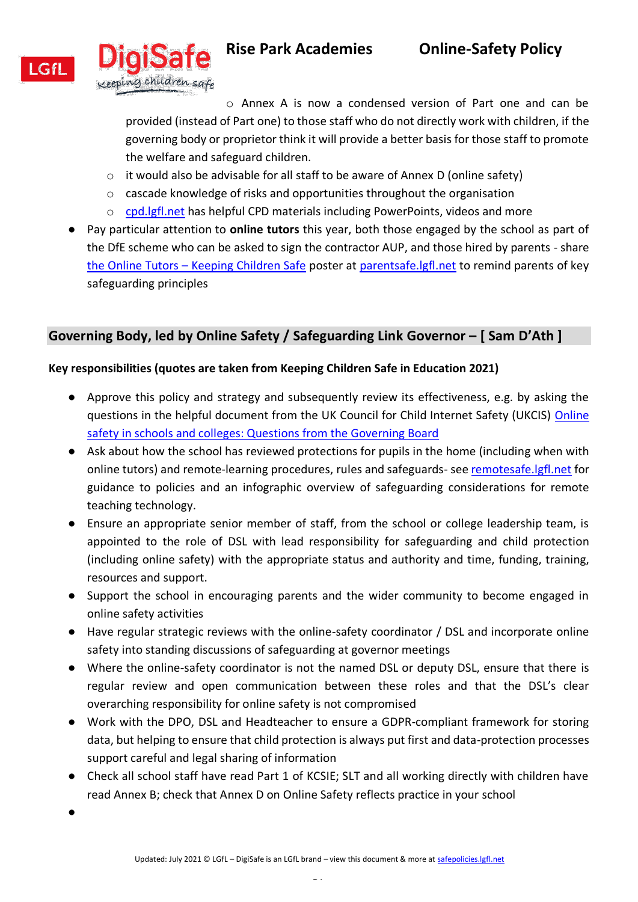

o Annex A is now a condensed version of Part one and can be provided (instead of Part one) to those staff who do not directly work with children, if the governing body or proprietor think it will provide a better basis for those staff to promote the welfare and safeguard children.

- o it would also be advisable for all staff to be aware of Annex D (online safety)
- o cascade knowledge of risks and opportunities throughout the organisation
- o [cpd.lgfl.net](http://cpd.lgfl.net/) has helpful CPD materials including PowerPoints, videos and more
- Pay particular attention to **online tutors** this year, both those engaged by the school as part of the DfE scheme who can be asked to sign the contractor AUP, and those hired by parents - share the Online Tutors – [Keeping Children Safe](https://static.lgfl.net/LgflNet/downloads/online-safety/posters/LGfL-DigiSafe-Online-Tutors-Safeguarding-Guidance.pdf) poster at [parentsafe.lgfl.net](https://parentsafe.lgfl.net/) to remind parents of key safeguarding principles

### <span id="page-9-0"></span>**Governing Body, led by Online Safety / Safeguarding Link Governor – [ Sam D'Ath ]**

#### **Key responsibilities (quotes are taken from Keeping Children Safe in Education 2021)**

- Approve this policy and strategy and subsequently review its effectiveness, e.g. by asking the questions in the helpful document from the UK Council for Child Internet Safety (UKCIS) Online [safety in schools and colleges: Questions from the Governing Board](https://assets.publishing.service.gov.uk/government/uploads/system/uploads/attachment_data/file/562876/Guidance_for_School_Governors_-_Question_list.pdf)
- Ask about how the school has reviewed protections for pupils in the home (including when with online tutors) and remote-learning procedures, rules and safeguards- see [remotesafe.lgfl.net](https://national.lgfl.net/digisafe/safe-remote-learning) for guidance to policies and an infographic overview of safeguarding considerations for remote teaching technology.
- Ensure an appropriate senior member of staff, from the school or college leadership team, is appointed to the role of DSL with lead responsibility for safeguarding and child protection (including online safety) with the appropriate status and authority and time, funding, training, resources and support.
- Support the school in encouraging parents and the wider community to become engaged in online safety activities
- Have regular strategic reviews with the online-safety coordinator / DSL and incorporate online safety into standing discussions of safeguarding at governor meetings
- Where the online-safety coordinator is not the named DSL or deputy DSL, ensure that there is regular review and open communication between these roles and that the DSL's clear overarching responsibility for online safety is not compromised
- Work with the DPO, DSL and Headteacher to ensure a GDPR-compliant framework for storing data, but helping to ensure that child protection is always put first and data-protection processes support careful and legal sharing of information
- Check all school staff have read Part 1 of KCSIE; SLT and all working directly with children have read Annex B; check that Annex D on Online Safety reflects practice in your school

 $\bullet$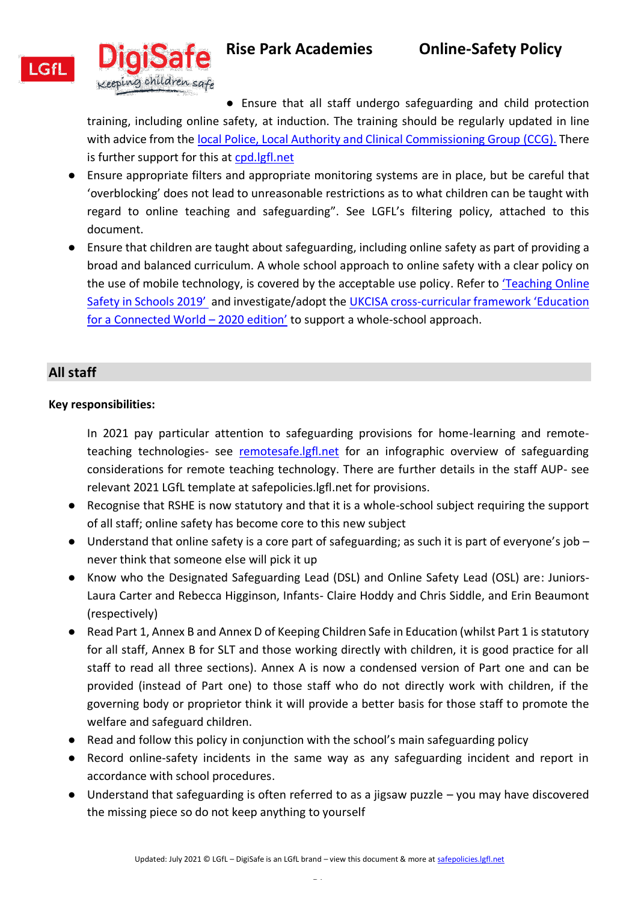



**Rise Park Academies Online-Safety Policy** 

● Ensure that all staff undergo safeguarding and child protection

training, including online safety, at induction. The training should be regularly updated in line with advice from the [local Police, Local Authority and Clinical Commissioning Group \(CCG\).](https://www.havering.gov.uk/download/downloads/id/4368/multi_agency_statutory_safeguarding_children_arrangements_-_bhr_safeguarding_partnership.pdf) There is further support for this at [cpd.lgfl.net](http://cpd.lgfl.net/)

- Ensure appropriate filters and appropriate monitoring systems are in place, but be careful that 'overblocking' does not lead to unreasonable restrictions as to what children can be taught with regard to online teaching and safeguarding". See LGFL's filtering policy, attached to this document.
- Ensure that children are taught about safeguarding, including online safety as part of providing a broad and balanced curriculum. A whole school approach to online safety with a clear policy on the use of mobile technology, is covered by the acceptable use policy. Refer to ['Teaching Online](https://assets.publishing.service.gov.uk/government/uploads/system/uploads/attachment_data/file/811796/Teaching_online_safety_in_school.pdf)  [Safety in Schools 2019'](https://assets.publishing.service.gov.uk/government/uploads/system/uploads/attachment_data/file/811796/Teaching_online_safety_in_school.pdf) and investigate/adopt the UKCISA cross-[curricular framework 'Education](https://assets.publishing.service.gov.uk/government/uploads/system/uploads/attachment_data/file/896323/UKCIS_Education_for_a_Connected_World_.pdf)  [for a Connected World](https://assets.publishing.service.gov.uk/government/uploads/system/uploads/attachment_data/file/896323/UKCIS_Education_for_a_Connected_World_.pdf) – 2020 edition' to support a whole-school approach.

# <span id="page-10-0"></span>**All staff**

### **Key responsibilities:**

In 2021 pay particular attention to safeguarding provisions for home-learning and remoteteaching technologies- see [remotesafe.lgfl.net](https://national.lgfl.net/digisafe/safe-remote-learning) for an infographic overview of safeguarding considerations for remote teaching technology. There are further details in the staff AUP- see relevant 2021 LGfL template at safepolicies.lgfl.net for provisions.

- Recognise that RSHE is now statutory and that it is a whole-school subject requiring the support of all staff; online safety has become core to this new subject
- Understand that online safety is a core part of safeguarding; as such it is part of everyone's job never think that someone else will pick it up
- Know who the Designated Safeguarding Lead (DSL) and Online Safety Lead (OSL) are: Juniors-Laura Carter and Rebecca Higginson, Infants- Claire Hoddy and Chris Siddle, and Erin Beaumont (respectively)
- Read Part 1, Annex B and Annex D of Keeping Children Safe in Education (whilst Part 1 is statutory for all staff, Annex B for SLT and those working directly with children, it is good practice for all staff to read all three sections). Annex A is now a condensed version of Part one and can be provided (instead of Part one) to those staff who do not directly work with children, if the governing body or proprietor think it will provide a better basis for those staff to promote the welfare and safeguard children.
- Read and follow this policy in conjunction with the school's main safeguarding policy
- Record online-safety incidents in the same way as any safeguarding incident and report in accordance with school procedures.
- Understand that safeguarding is often referred to as a jigsaw puzzle you may have discovered the missing piece so do not keep anything to yourself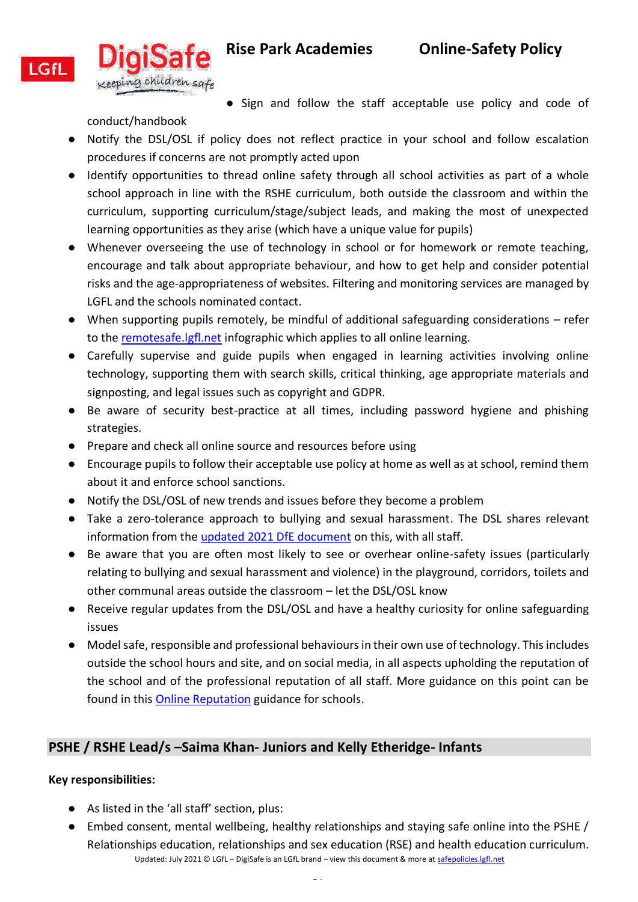

● Sign and follow the staff acceptable use policy and code of

conduct/handbook ● Notify the DSL/OSL if policy does not reflect practice in your school and follow escalation procedures if concerns are not promptly acted upon

- Identify opportunities to thread online safety through all school activities as part of a whole school approach in line with the RSHE curriculum, both outside the classroom and within the curriculum, supporting curriculum/stage/subject leads, and making the most of unexpected learning opportunities as they arise (which have a unique value for pupils)
- Whenever overseeing the use of technology in school or for homework or remote teaching, encourage and talk about appropriate behaviour, and how to get help and consider potential risks and the age-appropriateness of websites. Filtering and monitoring services are managed by LGFL and the schools nominated contact.
- When supporting pupils remotely, be mindful of additional safeguarding considerations refer to the [remotesafe.lgfl.net](https://national.lgfl.net/digisafe/safe-remote-learning) infographic which applies to all online learning.
- Carefully supervise and guide pupils when engaged in learning activities involving online technology, supporting them with search skills, critical thinking, age appropriate materials and signposting, and legal issues such as copyright and GDPR.
- Be aware of security best-practice at all times, including password hygiene and phishing strategies.
- Prepare and check all online source and resources before using
- Encourage pupils to follow their acceptable use policy at home as well as at school, remind them about it and enforce school sanctions.
- Notify the DSL/OSL of new trends and issues before they become a problem
- Take a zero-tolerance approach to bullying and sexual harassment. The DSL shares relevant information from the [updated 2021 DfE document](https://www.gov.uk/government/publications/sexual-violence-and-sexual-harassment-between-children-in-schools-and-colleges) on this, with all staff.
- Be aware that you are often most likely to see or overhear online-safety issues (particularly relating to bullying and sexual harassment and violence) in the playground, corridors, toilets and other communal areas outside the classroom – let the DSL/OSL know
- Receive regular updates from the DSL/OSL and have a healthy curiosity for online safeguarding issues
- Model safe, responsible and professional behaviours in their own use of technology. This includes outside the school hours and site, and on social media, in all aspects upholding the reputation of the school and of the professional reputation of all staff. More guidance on this point can be found in this [Online Reputation](http://onlinerep.lgfl.net/) guidance for schools.

# <span id="page-11-0"></span>**PSHE / RSHE Lead/s –Saima Khan- Juniors and Kelly Etheridge- Infants**

- As listed in the 'all staff' section, plus:
- Updated: July 2021 © LGfL DigiSafe is an LGfL brand view this document & more at safepolicies.lgfl.net ● Embed consent, mental wellbeing, healthy relationships and staying safe online into the PSHE / Relationships education, relationships and sex education (RSE) and health education curriculum.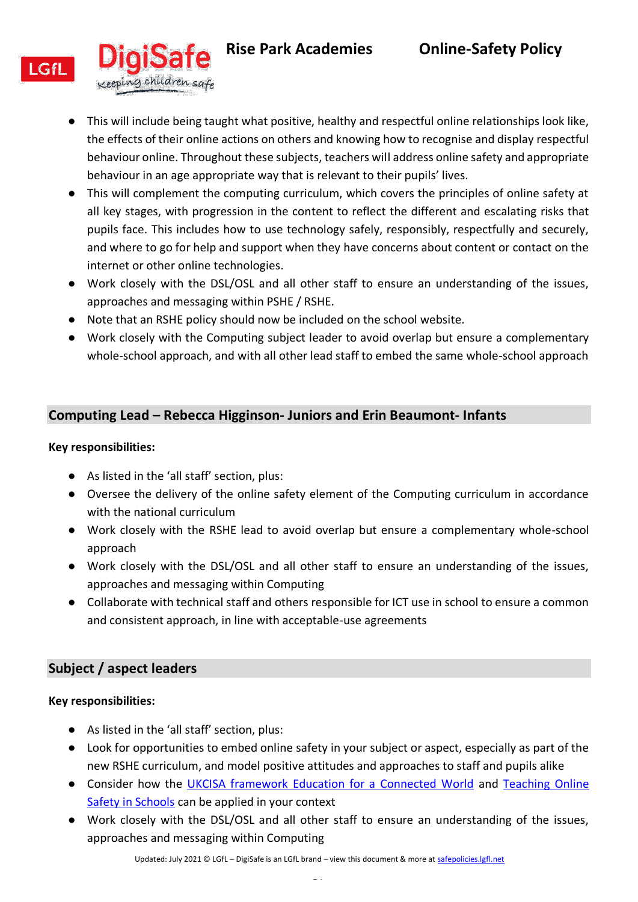



- This will include being taught what positive, healthy and respectful online relationships look like, the effects of their online actions on others and knowing how to recognise and display respectful behaviour online. Throughout these subjects, teachers will address online safety and appropriate behaviour in an age appropriate way that is relevant to their pupils' lives.
- This will complement the computing curriculum, which covers the principles of online safety at all key stages, with progression in the content to reflect the different and escalating risks that pupils face. This includes how to use technology safely, responsibly, respectfully and securely, and where to go for help and support when they have concerns about content or contact on the internet or other online technologies.
- Work closely with the DSL/OSL and all other staff to ensure an understanding of the issues, approaches and messaging within PSHE / RSHE.
- Note that an RSHE policy should now be included on the school website.
- Work closely with the Computing subject leader to avoid overlap but ensure a complementary whole-school approach, and with all other lead staff to embed the same whole-school approach

# <span id="page-12-0"></span>**Computing Lead – Rebecca Higginson- Juniors and Erin Beaumont- Infants**

### **Key responsibilities:**

**LGfL** 

- As listed in the 'all staff' section, plus:
- Oversee the delivery of the online safety element of the Computing curriculum in accordance with the national curriculum
- Work closely with the RSHE lead to avoid overlap but ensure a complementary whole-school approach
- Work closely with the DSL/OSL and all other staff to ensure an understanding of the issues, approaches and messaging within Computing
- Collaborate with technical staff and others responsible for ICT use in school to ensure a common and consistent approach, in line with acceptable-use agreements

### <span id="page-12-1"></span>**Subject / aspect leaders**

- As listed in the 'all staff' section, plus:
- Look for opportunities to embed online safety in your subject or aspect, especially as part of the new RSHE curriculum, and model positive attitudes and approaches to staff and pupils alike
- Consider how the UKCISA [framework Education for a Connected World](https://assets.publishing.service.gov.uk/government/uploads/system/uploads/attachment_data/file/896323/UKCIS_Education_for_a_Connected_World_.pdf) and Teaching Online [Safety in Schools](https://assets.publishing.service.gov.uk/government/uploads/system/uploads/attachment_data/file/811796/Teaching_online_safety_in_school.pdf) can be applied in your context
- Work closely with the DSL/OSL and all other staff to ensure an understanding of the issues, approaches and messaging within Computing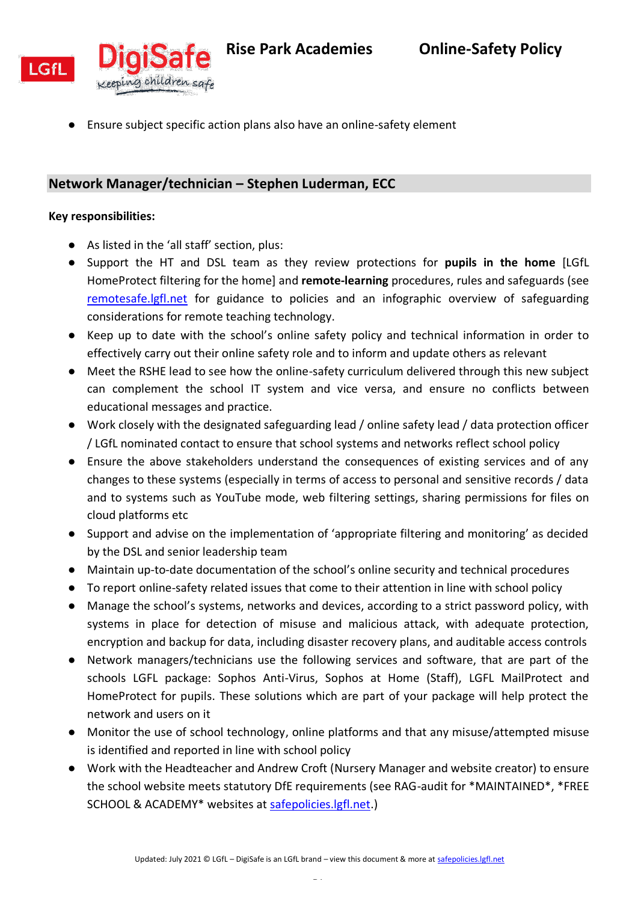

● Ensure subject specific action plans also have an online-safety element

### <span id="page-13-0"></span>**Network Manager/technician – Stephen Luderman, ECC**

- As listed in the 'all staff' section, plus:
- Support the HT and DSL team as they review protections for **pupils in the home** [LGfL HomeProtect filtering for the home] and **remote-learning** procedures, rules and safeguards (see [remotesafe.lgfl.net](https://national.lgfl.net/digisafe/safe-remote-learning) for guidance to policies and an infographic overview of safeguarding considerations for remote teaching technology.
- Keep up to date with the school's online safety policy and technical information in order to effectively carry out their online safety role and to inform and update others as relevant
- Meet the RSHE lead to see how the online-safety curriculum delivered through this new subject can complement the school IT system and vice versa, and ensure no conflicts between educational messages and practice.
- Work closely with the designated safeguarding lead / online safety lead / data protection officer / LGfL nominated contact to ensure that school systems and networks reflect school policy
- Ensure the above stakeholders understand the consequences of existing services and of any changes to these systems (especially in terms of access to personal and sensitive records / data and to systems such as YouTube mode, web filtering settings, sharing permissions for files on cloud platforms etc
- Support and advise on the implementation of 'appropriate filtering and monitoring' as decided by the DSL and senior leadership team
- Maintain up-to-date documentation of the school's online security and technical procedures
- To report online-safety related issues that come to their attention in line with school policy
- Manage the school's systems, networks and devices, according to a strict password policy, with systems in place for detection of misuse and malicious attack, with adequate protection, encryption and backup for data, including disaster recovery plans, and auditable access controls
- Network managers/technicians use the following services and software, that are part of the schools LGFL package: Sophos Anti-Virus, Sophos at Home (Staff), LGFL MailProtect and HomeProtect for pupils. These solutions which are part of your package will help protect the network and users on it
- Monitor the use of school technology, online platforms and that any misuse/attempted misuse is identified and reported in line with school policy
- Work with the Headteacher and Andrew Croft (Nursery Manager and website creator) to ensure the school website meets statutory DfE requirements (see RAG-audit for \*MAINTAINED\*, \*FREE SCHOOL & ACADEMY\* websites at [safepolicies.lgfl.net.](https://www.lgfl.net/online-safety/resource-centre?s=24))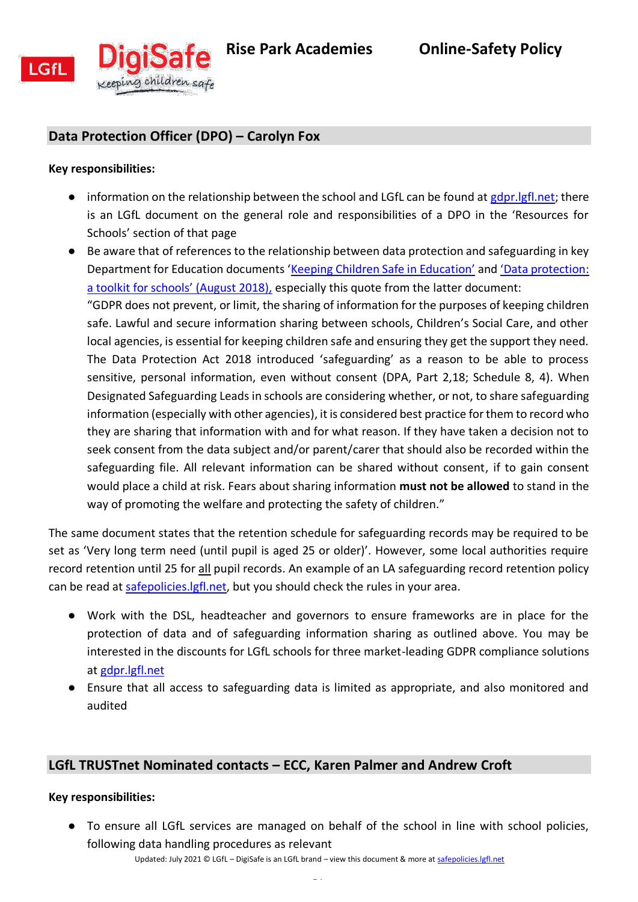

# <span id="page-14-0"></span>**Data Protection Officer (DPO) – Carolyn Fox**

#### **Key responsibilities:**

- $\bullet$  information on the relationship between the school and LGfL can be found at [gdpr.lgfl.net;](https://gdpr.lgfl.net/) there is an LGfL document on the general role and responsibilities of a DPO in the 'Resources for Schools' section of that page
- Be aware that of references to the relationship between data protection and safeguarding in key Department for Education documents ['Keeping Children Safe in Education'](https://assets.publishing.service.gov.uk/government/uploads/system/uploads/attachment_data/file/1021914/KCSIE_2021_September_guidance.pdf) and ['Data protection:](https://assets.publishing.service.gov.uk/government/uploads/system/uploads/attachment_data/file/747620/Data_Protection_Toolkit_for_Schools_OpenBeta.pdf)  [a toolkit for schools' \(August 2018\),](https://assets.publishing.service.gov.uk/government/uploads/system/uploads/attachment_data/file/747620/Data_Protection_Toolkit_for_Schools_OpenBeta.pdf) especially this quote from the latter document:

"GDPR does not prevent, or limit, the sharing of information for the purposes of keeping children safe. Lawful and secure information sharing between schools, Children's Social Care, and other local agencies, is essential for keeping children safe and ensuring they get the support they need. The Data Protection Act 2018 introduced 'safeguarding' as a reason to be able to process sensitive, personal information, even without consent (DPA, Part 2,18; Schedule 8, 4). When Designated Safeguarding Leads in schools are considering whether, or not, to share safeguarding information (especially with other agencies), it is considered best practice for them to record who they are sharing that information with and for what reason. If they have taken a decision not to seek consent from the data subject and/or parent/carer that should also be recorded within the safeguarding file. All relevant information can be shared without consent, if to gain consent would place a child at risk. Fears about sharing information **must not be allowed** to stand in the way of promoting the welfare and protecting the safety of children."

The same document states that the retention schedule for safeguarding records may be required to be set as 'Very long term need (until pupil is aged 25 or older)'. However, some local authorities require record retention until 25 for all pupil records. An example of an LA safeguarding record retention policy can be read at [safepolicies.lgfl.net,](https://safepolicies.lgfl.net/) but you should check the rules in your area.

- Work with the DSL, headteacher and governors to ensure frameworks are in place for the protection of data and of safeguarding information sharing as outlined above. You may be interested in the discounts for LGfL schools for three market-leading GDPR compliance solutions at [gdpr.lgfl.net](https://gdpr.lgfl.net/)
- Ensure that all access to safeguarding data is limited as appropriate, and also monitored and audited

### <span id="page-14-1"></span>**LGfL TRUSTnet Nominated contacts – ECC, Karen Palmer and Andrew Croft**

#### **Key responsibilities:**

Updated: July 2021 © LGfL – DigiSafe is an LGfL brand – view this document & more at safepolicies.lgfl.net ● To ensure all LGfL services are managed on behalf of the school in line with school policies, following data handling procedures as relevant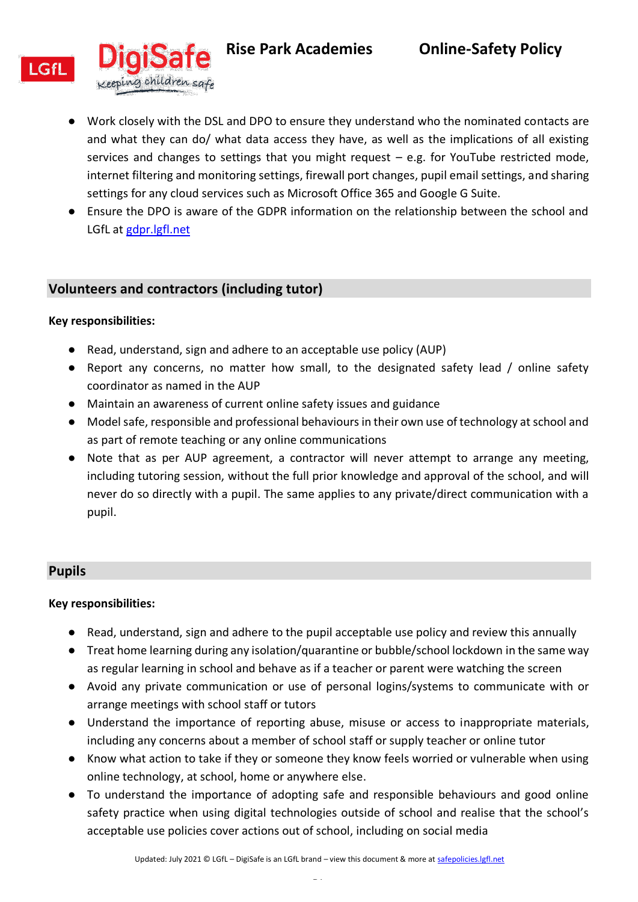

- Work closely with the DSL and DPO to ensure they understand who the nominated contacts are and what they can do/ what data access they have, as well as the implications of all existing services and changes to settings that you might request – e.g. for YouTube restricted mode, internet filtering and monitoring settings, firewall port changes, pupil email settings, and sharing settings for any cloud services such as Microsoft Office 365 and Google G Suite.
- Ensure the DPO is aware of the GDPR information on the relationship between the school and LGfL at [gdpr.lgfl.net](https://gdpr.lgfl.net/)

### <span id="page-15-0"></span>**Volunteers and contractors (including tutor)**

#### **Key responsibilities:**

- Read, understand, sign and adhere to an acceptable use policy (AUP)
- Report any concerns, no matter how small, to the designated safety lead / online safety coordinator as named in the AUP
- Maintain an awareness of current online safety issues and guidance
- Model safe, responsible and professional behaviours in their own use of technology at school and as part of remote teaching or any online communications
- Note that as per AUP agreement, a contractor will never attempt to arrange any meeting, including tutoring session, without the full prior knowledge and approval of the school, and will never do so directly with a pupil. The same applies to any private/direct communication with a pupil.

#### <span id="page-15-1"></span>**Pupils**

- Read, understand, sign and adhere to the pupil acceptable use policy and review this annually
- Treat home learning during any isolation/quarantine or bubble/school lockdown in the same way as regular learning in school and behave as if a teacher or parent were watching the screen
- Avoid any private communication or use of personal logins/systems to communicate with or arrange meetings with school staff or tutors
- Understand the importance of reporting abuse, misuse or access to inappropriate materials, including any concerns about a member of school staff or supply teacher or online tutor
- Know what action to take if they or someone they know feels worried or vulnerable when using online technology, at school, home or anywhere else.
- To understand the importance of adopting safe and responsible behaviours and good online safety practice when using digital technologies outside of school and realise that the school's acceptable use policies cover actions out of school, including on social media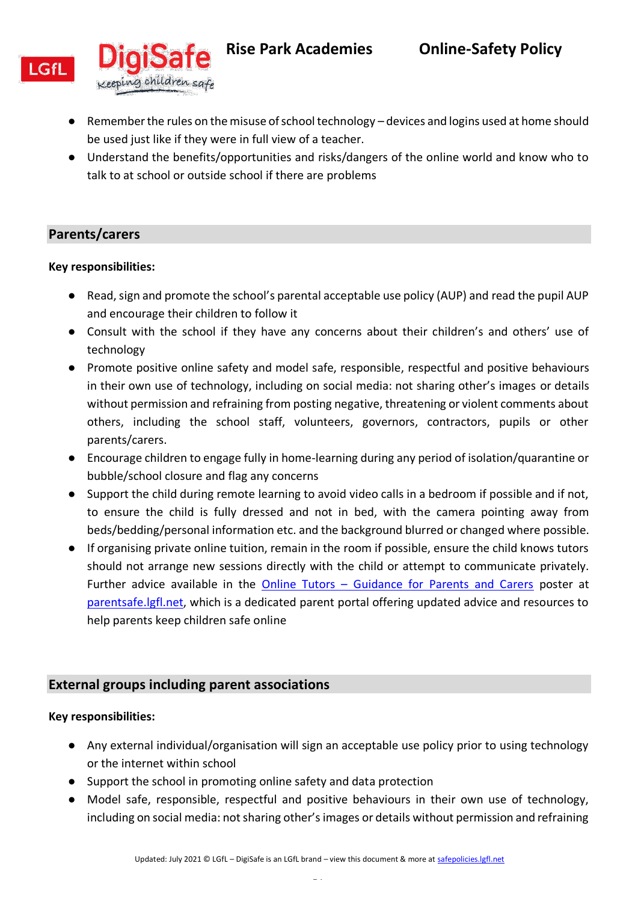

- Remember the rules on the misuse of school technology devices and logins used at home should be used just like if they were in full view of a teacher.
- Understand the benefits/opportunities and risks/dangers of the online world and know who to talk to at school or outside school if there are problems

# <span id="page-16-0"></span>**Parents/carers**

### **Key responsibilities:**

- Read, sign and promote the school's parental acceptable use policy (AUP) and read the pupil AUP and encourage their children to follow it
- Consult with the school if they have any concerns about their children's and others' use of technology
- Promote positive online safety and model safe, responsible, respectful and positive behaviours in their own use of technology, including on social media: not sharing other's images or details without permission and refraining from posting negative, threatening or violent comments about others, including the school staff, volunteers, governors, contractors, pupils or other parents/carers.
- Encourage children to engage fully in home-learning during any period of isolation/quarantine or bubble/school closure and flag any concerns
- Support the child during remote learning to avoid video calls in a bedroom if possible and if not, to ensure the child is fully dressed and not in bed, with the camera pointing away from beds/bedding/personal information etc. and the background blurred or changed where possible.
- If organising private online tuition, remain in the room if possible, ensure the child knows tutors should not arrange new sessions directly with the child or attempt to communicate privately. Further advice available in the Online Tutors – [Guidance for Parents and Carers](https://static.lgfl.net/LgflNet/downloads/online-safety/posters/LGfL-DigiSafe-Online-Tutors-Safeguarding-Guidance.pdf) poster at [parentsafe.lgfl.net,](https://parentsafe.lgfl.net/body-safe-sharing-content-online) which is a dedicated parent portal offering updated advice and resources to help parents keep children safe online

# <span id="page-16-1"></span>**External groups including parent associations**

- Any external individual/organisation will sign an acceptable use policy prior to using technology or the internet within school
- Support the school in promoting online safety and data protection
- Model safe, responsible, respectful and positive behaviours in their own use of technology, including on social media: not sharing other's images or details without permission and refraining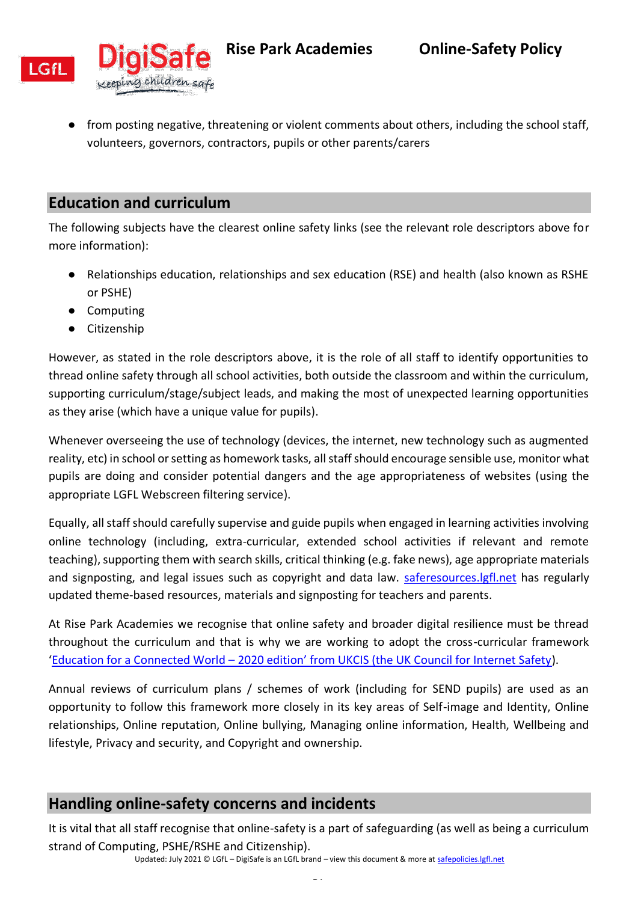



● from posting negative, threatening or violent comments about others, including the school staff, volunteers, governors, contractors, pupils or other parents/carers

# <span id="page-17-0"></span>**Education and curriculum**

The following subjects have the clearest online safety links (see the relevant role descriptors above for more information):

- Relationships education, relationships and sex education (RSE) and health (also known as RSHE or PSHE)
- Computing
- Citizenship

However, as stated in the role descriptors above, it is the role of all staff to identify opportunities to thread online safety through all school activities, both outside the classroom and within the curriculum, supporting curriculum/stage/subject leads, and making the most of unexpected learning opportunities as they arise (which have a unique value for pupils).

Whenever overseeing the use of technology (devices, the internet, new technology such as augmented reality, etc) in school or setting as homework tasks, all staff should encourage sensible use, monitor what pupils are doing and consider potential dangers and the age appropriateness of websites (using the appropriate LGFL Webscreen filtering service).

Equally, all staff should carefully supervise and guide pupils when engaged in learning activities involving online technology (including, extra-curricular, extended school activities if relevant and remote teaching), supporting them with search skills, critical thinking (e.g. fake news), age appropriate materials and signposting, and legal issues such as copyright and data law. saferesources. Igfl.net has regularly updated theme-based resources, materials and signposting for teachers and parents.

At Rise Park Academies we recognise that online safety and broader digital resilience must be thread throughout the curriculum and that is why we are working to adopt the cross-curricular framework 'Education for a Connected World – [2020 edition' from UKCIS \(the UK Council for Internet Safety](https://assets.publishing.service.gov.uk/government/uploads/system/uploads/attachment_data/file/896323/UKCIS_Education_for_a_Connected_World_.pdf)).

Annual reviews of curriculum plans / schemes of work (including for SEND pupils) are used as an opportunity to follow this framework more closely in its key areas of Self-image and Identity, Online relationships, Online reputation, Online bullying, Managing online information, Health, Wellbeing and lifestyle, Privacy and security, and Copyright and ownership.

# <span id="page-17-1"></span>**Handling online-safety concerns and incidents**

It is vital that all staff recognise that online-safety is a part of safeguarding (as well as being a curriculum strand of Computing, PSHE/RSHE and Citizenship).

Updated: July 2021 © LGfL – DigiSafe is an LGfL brand – view this document & more at safepolicies.lgfl.net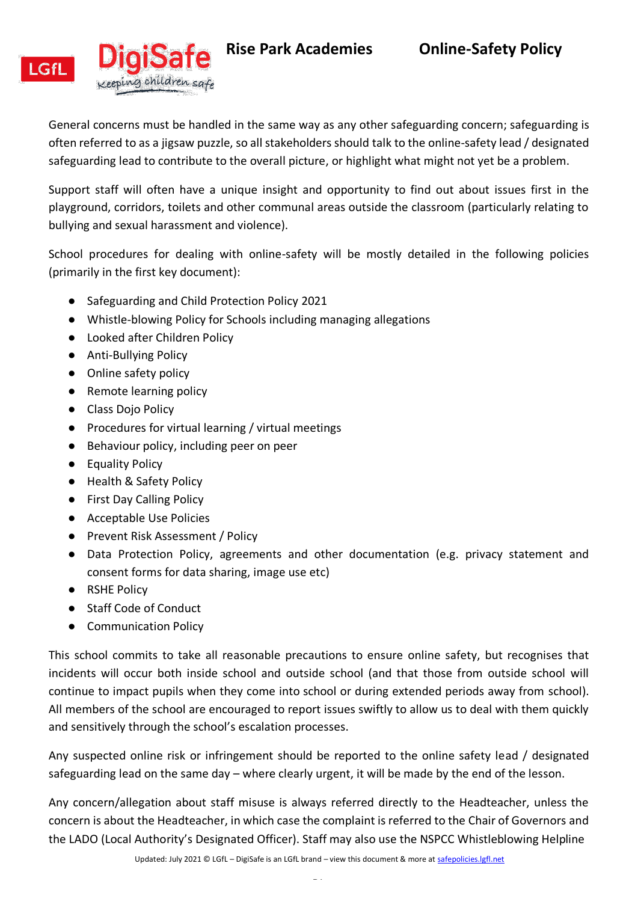



General concerns must be handled in the same way as any other safeguarding concern; safeguarding is often referred to as a jigsaw puzzle, so all stakeholders should talk to the online-safety lead / designated safeguarding lead to contribute to the overall picture, or highlight what might not yet be a problem.

Support staff will often have a unique insight and opportunity to find out about issues first in the playground, corridors, toilets and other communal areas outside the classroom (particularly relating to bullying and sexual harassment and violence).

School procedures for dealing with online-safety will be mostly detailed in the following policies (primarily in the first key document):

- Safeguarding and Child Protection Policy 2021
- Whistle-blowing Policy for Schools including managing allegations
- Looked after Children Policy
- Anti-Bullying Policy
- Online safety policy
- Remote learning policy
- Class Dojo Policy
- Procedures for virtual learning / virtual meetings
- Behaviour policy, including peer on peer
- Equality Policy
- Health & Safety Policy
- First Day Calling Policy
- Acceptable Use Policies
- Prevent Risk Assessment / Policy
- Data Protection Policy, agreements and other documentation (e.g. privacy statement and consent forms for data sharing, image use etc)
- RSHE Policy
- Staff Code of Conduct
- Communication Policy

This school commits to take all reasonable precautions to ensure online safety, but recognises that incidents will occur both inside school and outside school (and that those from outside school will continue to impact pupils when they come into school or during extended periods away from school). All members of the school are encouraged to report issues swiftly to allow us to deal with them quickly and sensitively through the school's escalation processes.

Any suspected online risk or infringement should be reported to the online safety lead / designated safeguarding lead on the same day – where clearly urgent, it will be made by the end of the lesson.

Any concern/allegation about staff misuse is always referred directly to the Headteacher, unless the concern is about the Headteacher, in which case the complaint is referred to the Chair of Governors and the LADO (Local Authority's Designated Officer). Staff may also use the NSPCC Whistleblowing Helpline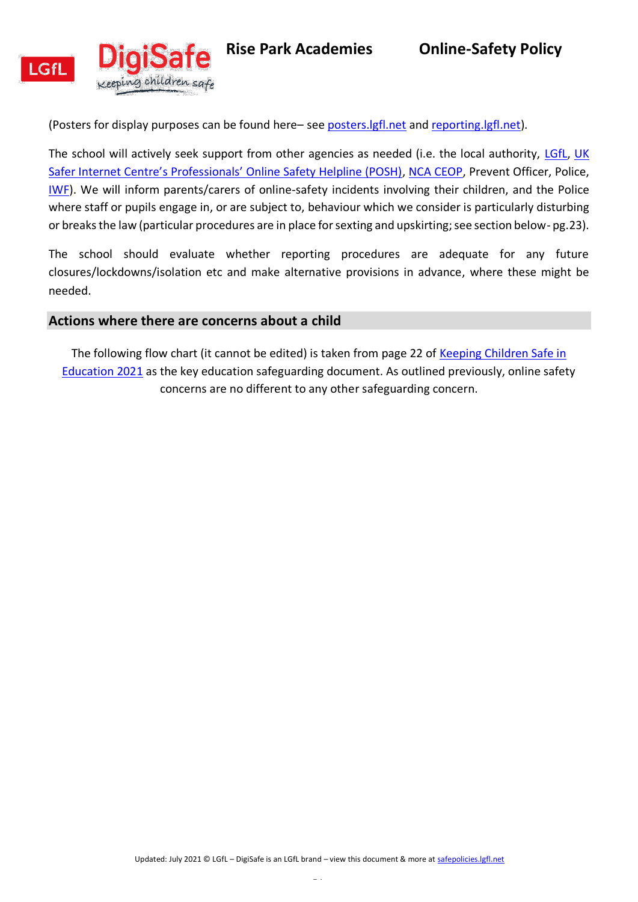



(Posters for display purposes can be found here– see [posters.lgfl.net](http://posters.lgfl.net/) and [reporting.lgfl.net\)](http://reporting.lgfl.net/).

The school will actively seek support from other agencies as needed (i.e. the local authority, [LGfL,](https://www.lgfl.net/online-safety/) UK [Safer Internet Centre's Professionals' Online Safety Helpline \(POSH\)](https://saferinternet.org.uk/professionals-online-safety-helpline), [NCA CEOP,](https://www.nationalcrimeagency.gov.uk/contact-us/15-contact-ceop) Prevent Officer, Police, [IWF\)](https://www.iwf.org.uk/). We will inform parents/carers of online-safety incidents involving their children, and the Police where staff or pupils engage in, or are subject to, behaviour which we consider is particularly disturbing or breaks the law (particular procedures are in place for sexting and upskirting; see section below- pg.23).

The school should evaluate whether reporting procedures are adequate for any future closures/lockdowns/isolation etc and make alternative provisions in advance, where these might be needed.

#### <span id="page-19-0"></span>**Actions where there are concerns about a child**

The following flow chart (it cannot be edited) is taken from page 22 of [Keeping Children Safe in](https://assets.publishing.service.gov.uk/government/uploads/system/uploads/attachment_data/file/1021914/KCSIE_2021_September_guidance.pdf)  [Education 2021](https://assets.publishing.service.gov.uk/government/uploads/system/uploads/attachment_data/file/1021914/KCSIE_2021_September_guidance.pdf) as the key education safeguarding document. As outlined previously, online safety concerns are no different to any other safeguarding concern.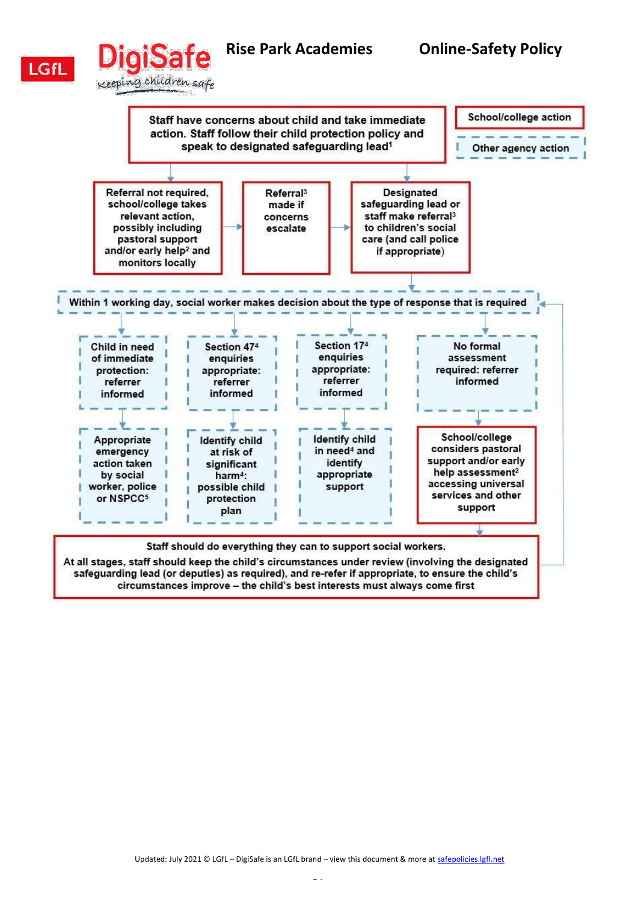

# **Rise Park Academies Online-Safety Policy**  iSai Keeping children safe



At all stages, staff should keep the child's circumstances under review (involving the designated safeguarding lead (or deputies) as required), and re-refer if appropriate, to ensure the child's circumstances improve - the child's best interests must always come first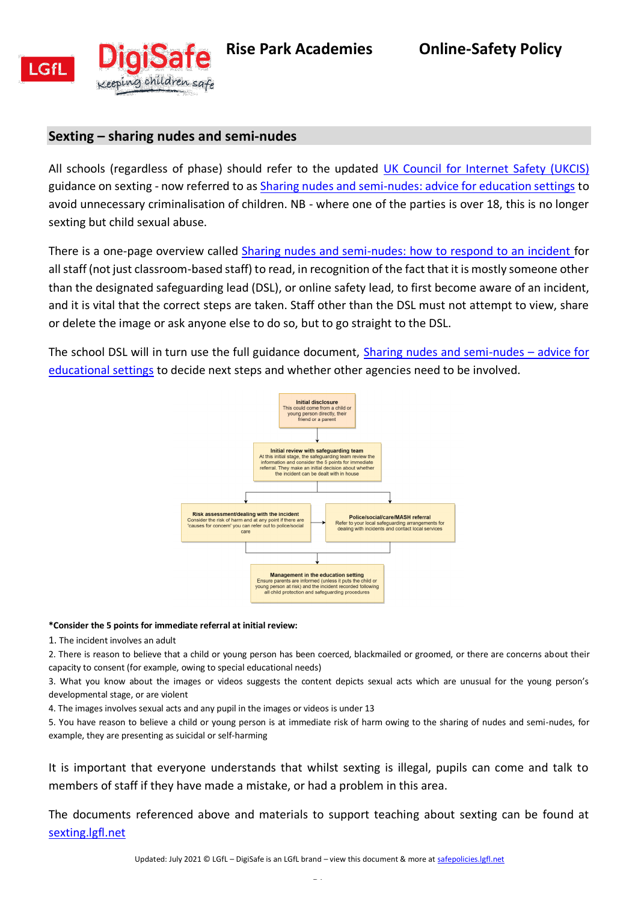

### <span id="page-21-0"></span>**Sexting – sharing nudes and semi-nudes**

All schools (regardless of phase) should refer to the updated [UK Council for Internet Safety \(UKCIS\)](https://www.gov.uk/government/organisations/uk-council-for-internet-safety) guidance on sexting - now referred to as [Sharing nudes and semi-nudes: advice for education settings](https://www.gov.uk/government/publications/sharing-nudes-and-semi-nudes-advice-for-education-settings-working-with-children-and-young-people) to avoid unnecessary criminalisation of children. NB - where one of the parties is over 18, this is no longer sexting but child sexual abuse.

There is a one-page overview called [Sharing nudes and semi-nudes: how to respond to an incident f](https://assets.publishing.service.gov.uk/government/uploads/system/uploads/attachment_data/file/947546/Sharing_nudes_and_semi_nudes_how_to_respond_to_an_incident_Summary_V2.pdf)or all staff (not just classroom-based staff) to read, in recognition of the fact that it is mostly someone other than the designated safeguarding lead (DSL), or online safety lead, to first become aware of an incident, and it is vital that the correct steps are taken. Staff other than the DSL must not attempt to view, share or delete the image or ask anyone else to do so, but to go straight to the DSL.

The school DSL will in turn use the full guidance document, [Sharing nudes and semi-nudes](https://assets.publishing.service.gov.uk/government/uploads/system/uploads/attachment_data/file/947545/UKCIS_sharing_nudes_and_semi_nudes_advice_for_education_settings_V2.pdf) – advice for [educational settings](https://assets.publishing.service.gov.uk/government/uploads/system/uploads/attachment_data/file/947545/UKCIS_sharing_nudes_and_semi_nudes_advice_for_education_settings_V2.pdf) to decide next steps and whether other agencies need to be involved.



#### **\*Consider the 5 points for immediate referral at initial review:**

1. The incident involves an adult

2. There is reason to believe that a child or young person has been coerced, blackmailed or groomed, or there are concerns about their capacity to consent (for example, owing to special educational needs)

3. What you know about the images or videos suggests the content depicts sexual acts which are unusual for the young person's developmental stage, or are violent

4. The images involves sexual acts and any pupil in the images or videos is under 13

5. You have reason to believe a child or young person is at immediate risk of harm owing to the sharing of nudes and semi-nudes, for example, they are presenting as suicidal or self-harming

It is important that everyone understands that whilst sexting is illegal, pupils can come and talk to members of staff if they have made a mistake, or had a problem in this area.

The documents referenced above and materials to support teaching about sexting can be found at [sexting.lgfl.net](https://sexting.lgfl.net/)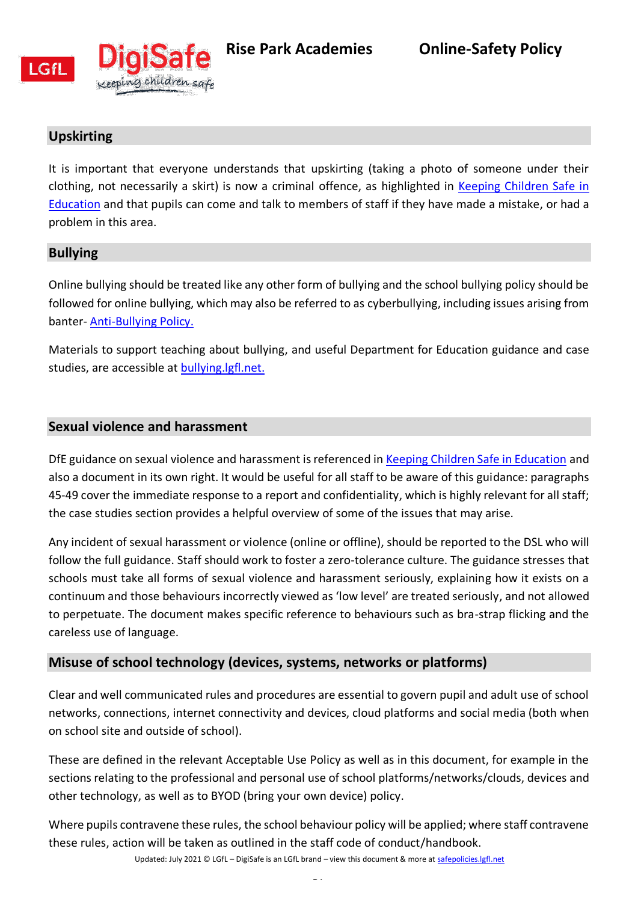

<span id="page-22-0"></span>

# **Upskirting**

It is important that everyone understands that upskirting (taking a photo of someone under their clothing, not necessarily a skirt) is now a criminal offence, as highlighted in [Keeping Children Safe in](https://assets.publishing.service.gov.uk/government/uploads/system/uploads/attachment_data/file/1021914/KCSIE_2021_September_guidance.pdf)  [Education](https://assets.publishing.service.gov.uk/government/uploads/system/uploads/attachment_data/file/1021914/KCSIE_2021_September_guidance.pdf) and that pupils can come and talk to members of staff if they have made a mistake, or had a problem in this area.

## <span id="page-22-1"></span>**Bullying**

Online bullying should be treated like any other form of bullying and the school bullying policy should be followed for online bullying, which may also be referred to as cyberbullying, including issues arising from banter- [Anti-Bullying Policy.](https://9d82e839-e0a8-47ed-8e15-17b0791865a7.filesusr.com/ugd/249a54_abedc88d49ce4f469f581830ebba9c0b.pdf)

Materials to support teaching about bullying, and useful Department for Education guidance and case studies, are accessible a[t bullying.lgfl.net.](https://bullying.lgfl.net/)

## <span id="page-22-2"></span>**Sexual violence and harassment**

DfE guidance on sexual violence and harassment is referenced in [Keeping Children Safe in Education](https://assets.publishing.service.gov.uk/government/uploads/system/uploads/attachment_data/file/1021914/KCSIE_2021_September_guidance.pdf) and also a document in its own right. It would be useful for all staff to be aware of this guidance: paragraphs 45-49 cover the immediate response to a report and confidentiality, which is highly relevant for all staff; the case studies section provides a helpful overview of some of the issues that may arise.

Any incident of sexual harassment or violence (online or offline), should be reported to the DSL who will follow the full guidance. Staff should work to foster a zero-tolerance culture. The guidance stresses that schools must take all forms of sexual violence and harassment seriously, explaining how it exists on a continuum and those behaviours incorrectly viewed as 'low level' are treated seriously, and not allowed to perpetuate. The document makes specific reference to behaviours such as bra-strap flicking and the careless use of language.

# <span id="page-22-3"></span>**Misuse of school technology (devices, systems, networks or platforms)**

Clear and well communicated rules and procedures are essential to govern pupil and adult use of school networks, connections, internet connectivity and devices, cloud platforms and social media (both when on school site and outside of school).

These are defined in the relevant Acceptable Use Policy as well as in this document, for example in the sections relating to the professional and personal use of school platforms/networks/clouds, devices and other technology, as well as to BYOD (bring your own device) policy.

Where pupils contravene these rules, the school behaviour policy will be applied; where staff contravene these rules, action will be taken as outlined in the staff code of conduct/handbook.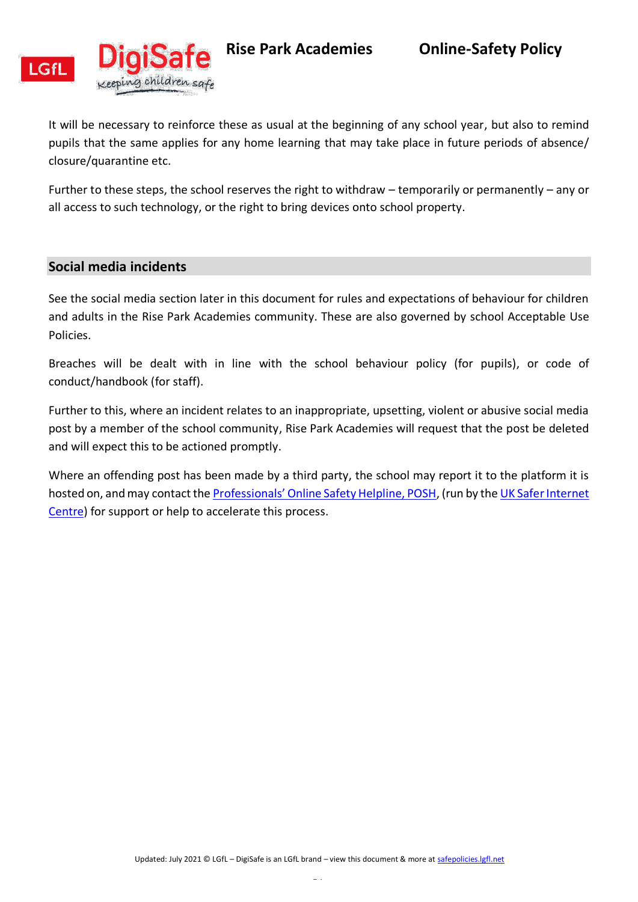



**Rise Park Academies Online-Safety Policy** 

It will be necessary to reinforce these as usual at the beginning of any school year, but also to remind pupils that the same applies for any home learning that may take place in future periods of absence/ closure/quarantine etc.

Further to these steps, the school reserves the right to withdraw – temporarily or permanently – any or all access to such technology, or the right to bring devices onto school property.

### <span id="page-23-0"></span>**Social media incidents**

See the social media section later in this document for rules and expectations of behaviour for children and adults in the Rise Park Academies community. These are also governed by school Acceptable Use Policies.

Breaches will be dealt with in line with the school behaviour policy (for pupils), or code of conduct/handbook (for staff).

Further to this, where an incident relates to an inappropriate, upsetting, violent or abusive social media post by a member of the school community, Rise Park Academies will request that the post be deleted and will expect this to be actioned promptly.

Where an offending post has been made by a third party, the school may report it to the platform it is hosted on, and may contact the **[Professionals' Online Safety Helpline, POSH](https://saferinternet.org.uk/professionals-online-safety-helpline)**, (run by the UK Safer Internet [Centre\)](https://saferinternet.org.uk/) for support or help to accelerate this process.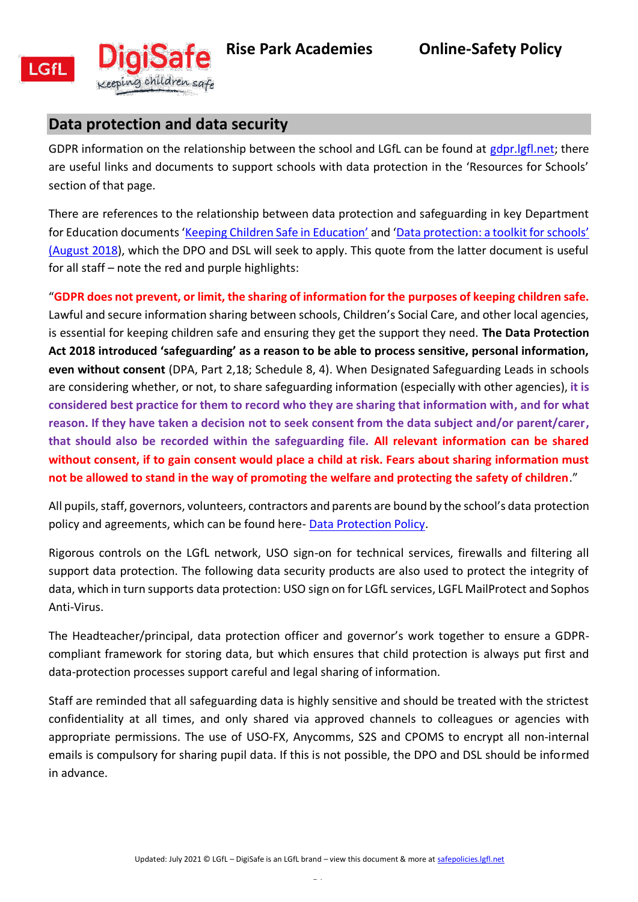<span id="page-24-0"></span>



# **Data protection and data security**

GDPR information on the relationship between the school and LGfL can be found at [gdpr.lgfl.net;](https://gdpr.lgfl.net/) there are useful links and documents to support schools with data protection in the 'Resources for Schools' section of that page.

There are references to the relationship between data protection and safeguarding in key Department for Education documents ['Keeping Children Safe in Education'](https://assets.publishing.service.gov.uk/government/uploads/system/uploads/attachment_data/file/1021914/KCSIE_2021_September_guidance.pdf) and 'Data pr[otection: a toolkit for schools'](https://assets.publishing.service.gov.uk/government/uploads/system/uploads/attachment_data/file/747620/Data_Protection_Toolkit_for_Schools_OpenBeta.pdf)  [\(August 2018\)](https://assets.publishing.service.gov.uk/government/uploads/system/uploads/attachment_data/file/747620/Data_Protection_Toolkit_for_Schools_OpenBeta.pdf), which the DPO and DSL will seek to apply. This quote from the latter document is useful for all staff – note the red and purple highlights:

"**GDPR does not prevent, or limit, the sharing of information for the purposes of keeping children safe.** Lawful and secure information sharing between schools, Children's Social Care, and other local agencies, is essential for keeping children safe and ensuring they get the support they need. **The Data Protection Act 2018 introduced 'safeguarding' as a reason to be able to process sensitive, personal information, even without consent** (DPA, Part 2,18; Schedule 8, 4). When Designated Safeguarding Leads in schools are considering whether, or not, to share safeguarding information (especially with other agencies), **it is considered best practice for them to record who they are sharing that information with, and for what reason. If they have taken a decision not to seek consent from the data subject and/or parent/carer, that should also be recorded within the safeguarding file. All relevant information can be shared without consent, if to gain consent would place a child at risk. Fears about sharing information must not be allowed to stand in the way of promoting the welfare and protecting the safety of children**."

All pupils, staff, governors, volunteers, contractors and parents are bound by the school's data protection policy and agreements, which can be found here- [Data Protection Policy.](https://9d82e839-e0a8-47ed-8e15-17b0791865a7.filesusr.com/ugd/243566_517e86fe12014555997df618244aab50.docx?dn=Data%20Protection%20Policy%20(including%20SAR%20appendix)%202020.docx)

Rigorous controls on the LGfL network, USO sign-on for technical services, firewalls and filtering all support data protection. The following data security products are also used to protect the integrity of data, which in turn supports data protection: USO sign on for LGfL services, LGFL MailProtect and Sophos Anti-Virus.

The Headteacher/principal, data protection officer and governor's work together to ensure a GDPRcompliant framework for storing data, but which ensures that child protection is always put first and data-protection processes support careful and legal sharing of information.

Staff are reminded that all safeguarding data is highly sensitive and should be treated with the strictest confidentiality at all times, and only shared via approved channels to colleagues or agencies with appropriate permissions. The use of USO-FX, Anycomms, S2S and CPOMS to encrypt all non-internal emails is compulsory for sharing pupil data. If this is not possible, the DPO and DSL should be informed in advance.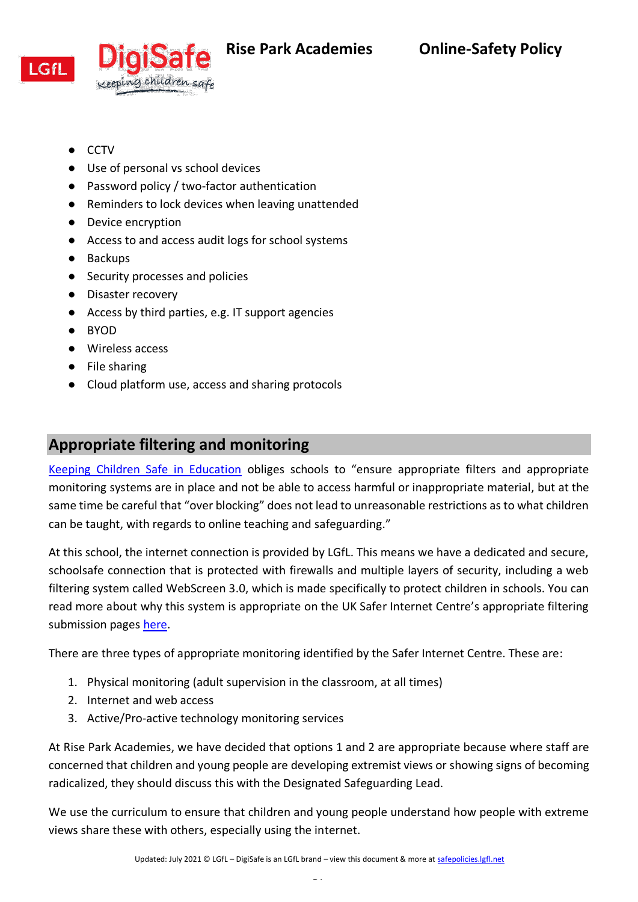



- CCTV
- Use of personal vs school devices
- Password policy / two-factor authentication
- Reminders to lock devices when leaving unattended
- Device encryption
- Access to and access audit logs for school systems
- Backups
- Security processes and policies
- Disaster recovery
- Access by third parties, e.g. IT support agencies
- BYOD
- Wireless access
- File sharing
- Cloud platform use, access and sharing protocols

# <span id="page-25-0"></span>**Appropriate filtering and monitoring**

[Keeping Children Safe in Education](https://assets.publishing.service.gov.uk/government/uploads/system/uploads/attachment_data/file/1021914/KCSIE_2021_September_guidance.pdf) obliges schools to "ensure appropriate filters and appropriate monitoring systems are in place and not be able to access harmful or inappropriate material, but at the same time be careful that "over blocking" does not lead to unreasonable restrictions as to what children can be taught, with regards to online teaching and safeguarding."

At this school, the internet connection is provided by LGfL. This means we have a dedicated and secure, schoolsafe connection that is protected with firewalls and multiple layers of security, including a web filtering system called WebScreen 3.0, which is made specifically to protect children in schools. You can read more about why this system is appropriate on the UK Safer Internet Centre's appropriate filtering submission pages [here.](https://www.saferinternet.org.uk/advice-centre/teachers-and-school-staff/appropriate-filtering-and-monitoring/provider-responses)

There are three types of appropriate monitoring identified by the Safer Internet Centre. These are:

- 1. Physical monitoring (adult supervision in the classroom, at all times)
- 2. Internet and web access
- 3. Active/Pro-active technology monitoring services

At Rise Park Academies, we have decided that options 1 and 2 are appropriate because where staff are concerned that children and young people are developing extremist views or showing signs of becoming radicalized, they should discuss this with the Designated Safeguarding Lead.

We use the curriculum to ensure that children and young people understand how people with extreme views share these with others, especially using the internet.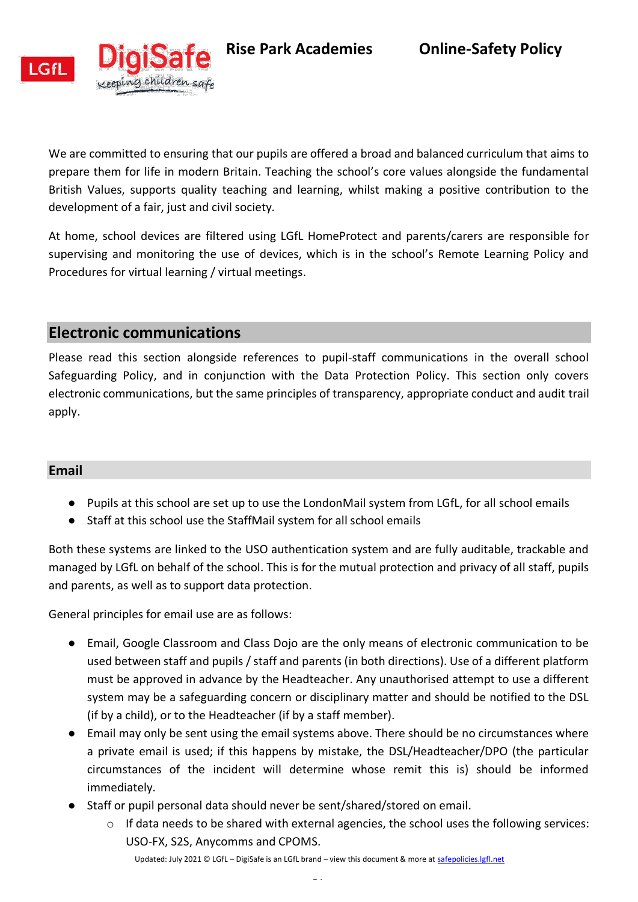**Rise Park Academies Online-Safety Policy** 



We are committed to ensuring that our pupils are offered a broad and balanced curriculum that aims to prepare them for life in modern Britain. Teaching the school's core values alongside the fundamental British Values, supports quality teaching and learning, whilst making a positive contribution to the development of a fair, just and civil society.

At home, school devices are filtered using LGfL HomeProtect and parents/carers are responsible for supervising and monitoring the use of devices, which is in the school's Remote Learning Policy and Procedures for virtual learning / virtual meetings.

# <span id="page-26-0"></span>**Electronic communications**

Please read this section alongside references to pupil-staff communications in the overall school Safeguarding Policy, and in conjunction with the Data Protection Policy. This section only covers electronic communications, but the same principles of transparency, appropriate conduct and audit trail apply.

### <span id="page-26-1"></span>**Email**

- Pupils at this school are set up to use the LondonMail system from LGfL, for all school emails
- Staff at this school use the StaffMail system for all school emails

Both these systems are linked to the USO authentication system and are fully auditable, trackable and managed by LGfL on behalf of the school. This is for the mutual protection and privacy of all staff, pupils and parents, as well as to support data protection.

General principles for email use are as follows:

- Email, Google Classroom and Class Dojo are the only means of electronic communication to be used between staff and pupils / staff and parents (in both directions). Use of a different platform must be approved in advance by the Headteacher. Any unauthorised attempt to use a different system may be a safeguarding concern or disciplinary matter and should be notified to the DSL (if by a child), or to the Headteacher (if by a staff member).
- Email may only be sent using the email systems above. There should be no circumstances where a private email is used; if this happens by mistake, the DSL/Headteacher/DPO (the particular circumstances of the incident will determine whose remit this is) should be informed immediately.
- Staff or pupil personal data should never be sent/shared/stored on email.
	- $\circ$  If data needs to be shared with external agencies, the school uses the following services: USO-FX, S2S, Anycomms and CPOMS.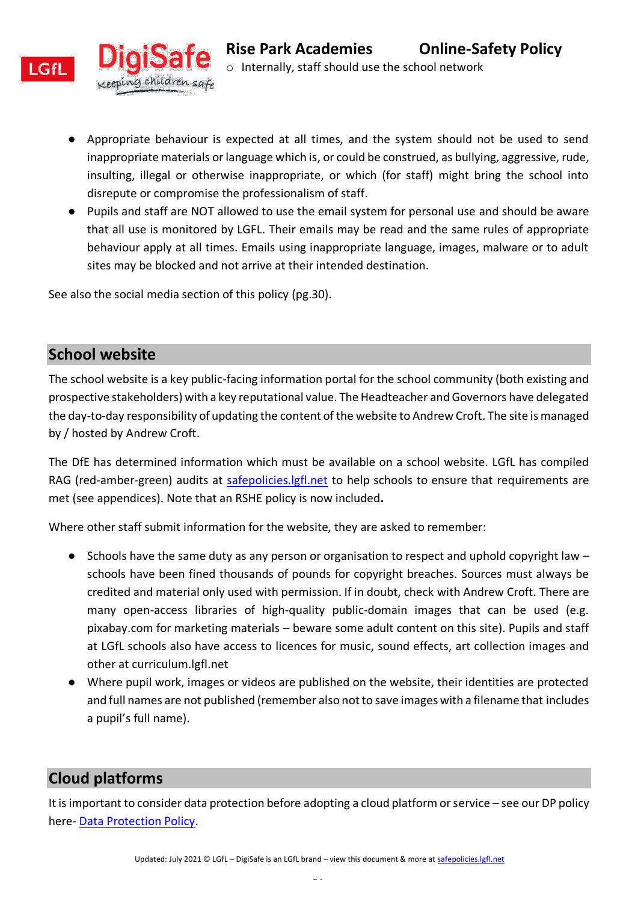

- Appropriate behaviour is expected at all times, and the system should not be used to send inappropriate materials or language which is, or could be construed, as bullying, aggressive, rude, insulting, illegal or otherwise inappropriate, or which (for staff) might bring the school into disrepute or compromise the professionalism of staff.
- Pupils and staff are NOT allowed to use the email system for personal use and should be aware that all use is monitored by LGFL. Their emails may be read and the same rules of appropriate behaviour apply at all times. Emails using inappropriate language, images, malware or to adult sites may be blocked and not arrive at their intended destination.

See also the social media section of this policy (pg.30).

g chíldren safe

# <span id="page-27-0"></span>**School website**

The school website is a key public-facing information portal for the school community (both existing and prospective stakeholders) with a key reputational value. The Headteacher and Governors have delegated the day-to-day responsibility of updating the content of the website to Andrew Croft. The site is managed by / hosted by Andrew Croft.

The DfE has determined information which must be available on a school website. LGfL has compiled RAG (red-amber-green) audits at safepolicies. lgfl.net to help schools to ensure that requirements are met (see appendices). Note that an RSHE policy is now included**.**

Where other staff submit information for the website, they are asked to remember:

- $\bullet$  Schools have the same duty as any person or organisation to respect and uphold copyright law  $$ schools have been fined thousands of pounds for copyright breaches. Sources must always be credited and material only used with permission. If in doubt, check with Andrew Croft. There are many open-access libraries of high-quality public-domain images that can be used (e.g. pixabay.com for marketing materials – beware some adult content on this site). Pupils and staff at LGfL schools also have access to licences for music, sound effects, art collection images and other at curriculum.lgfl.net
- Where pupil work, images or videos are published on the website, their identities are protected and full names are not published (remember also not to save images with a filename that includes a pupil's full name).

# <span id="page-27-1"></span>**Cloud platforms**

It is important to consider data protection before adopting a cloud platform or service – see our DP policy here- [Data Protection Policy.](https://28e68067-32e7-42ef-935b-e7b1764836eb.filesusr.com/ugd/243566_437e417606d04c219ca7cadab9b92371.docx?dn=Data%20Protection%20Policy%20(including%20SAR%20appendix)%202020.docx)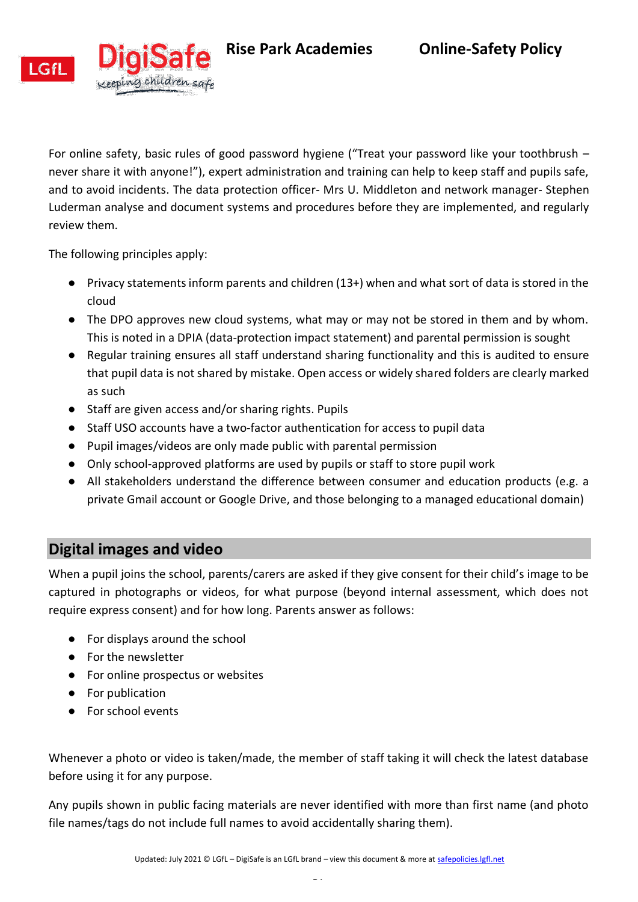**Rise Park Academies Online-Safety Policy** 





For online safety, basic rules of good password hygiene ("Treat your password like your toothbrush – never share it with anyone!"), expert administration and training can help to keep staff and pupils safe, and to avoid incidents. The data protection officer- Mrs U. Middleton and network manager- Stephen Luderman analyse and document systems and procedures before they are implemented, and regularly review them.

The following principles apply:

g children safe

- Privacy statements inform parents and children (13+) when and what sort of data is stored in the cloud
- The DPO approves new cloud systems, what may or may not be stored in them and by whom. This is noted in a DPIA (data-protection impact statement) and parental permission is sought
- Regular training ensures all staff understand sharing functionality and this is audited to ensure that pupil data is not shared by mistake. Open access or widely shared folders are clearly marked as such
- Staff are given access and/or sharing rights. Pupils
- Staff USO accounts have a two-factor authentication for access to pupil data
- Pupil images/videos are only made public with parental permission
- Only school-approved platforms are used by pupils or staff to store pupil work
- All stakeholders understand the difference between consumer and education products (e.g. a private Gmail account or Google Drive, and those belonging to a managed educational domain)

# <span id="page-28-0"></span>**Digital images and video**

When a pupil joins the school, parents/carers are asked if they give consent for their child's image to be captured in photographs or videos, for what purpose (beyond internal assessment, which does not require express consent) and for how long. Parents answer as follows:

- For displays around the school
- For the newsletter
- For online prospectus or websites
- For publication
- For school events

Whenever a photo or video is taken/made, the member of staff taking it will check the latest database before using it for any purpose.

Any pupils shown in public facing materials are never identified with more than first name (and photo file names/tags do not include full names to avoid accidentally sharing them).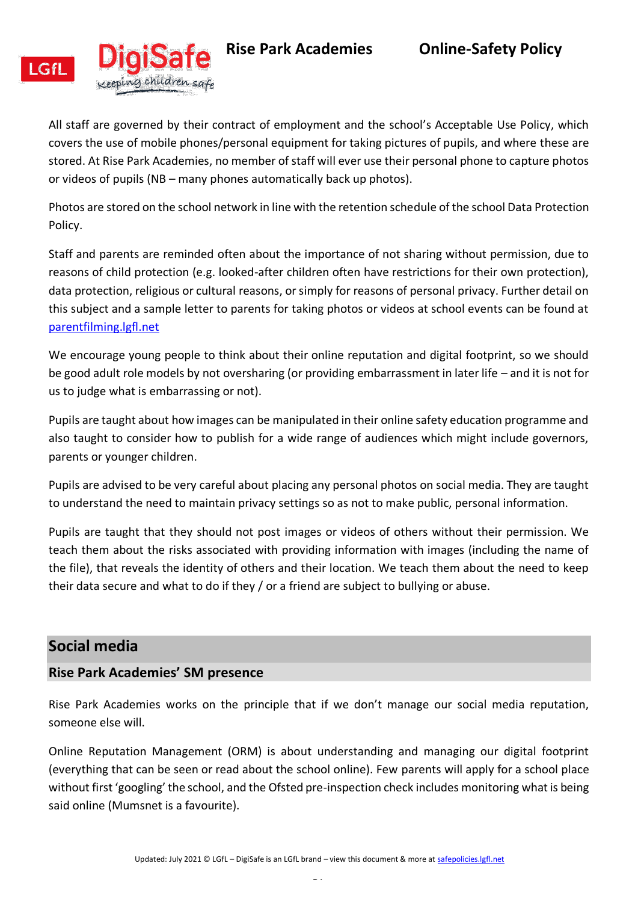

g children safe

**Rise Park Academies Online-Safety Policy** 

All staff are governed by their contract of employment and the school's Acceptable Use Policy, which covers the use of mobile phones/personal equipment for taking pictures of pupils, and where these are stored. At Rise Park Academies, no member of staff will ever use their personal phone to capture photos or videos of pupils (NB – many phones automatically back up photos).

Photos are stored on the school network in line with the retention schedule of the school Data Protection Policy.

Staff and parents are reminded often about the importance of not sharing without permission, due to reasons of child protection (e.g. looked-after children often have restrictions for their own protection), data protection, religious or cultural reasons, or simply for reasons of personal privacy. Further detail on this subject and a sample letter to parents for taking photos or videos at school events can be found at [parentfilming.lgfl.net](http://parentfilming.lgfl.net/)

We encourage young people to think about their online reputation and digital footprint, so we should be good adult role models by not oversharing (or providing embarrassment in later life – and it is not for us to judge what is embarrassing or not).

Pupils are taught about how images can be manipulated in their online safety education programme and also taught to consider how to publish for a wide range of audiences which might include governors, parents or younger children.

Pupils are advised to be very careful about placing any personal photos on social media. They are taught to understand the need to maintain privacy settings so as not to make public, personal information.

Pupils are taught that they should not post images or videos of others without their permission. We teach them about the risks associated with providing information with images (including the name of the file), that reveals the identity of others and their location. We teach them about the need to keep their data secure and what to do if they / or a friend are subject to bullying or abuse.

# <span id="page-29-0"></span>**Social media**

### <span id="page-29-1"></span>**Rise Park Academies' SM presence**

Rise Park Academies works on the principle that if we don't manage our social media reputation, someone else will.

Online Reputation Management (ORM) is about understanding and managing our digital footprint (everything that can be seen or read about the school online). Few parents will apply for a school place without first 'googling' the school, and the Ofsted pre-inspection check includes monitoring what is being said online (Mumsnet is a favourite).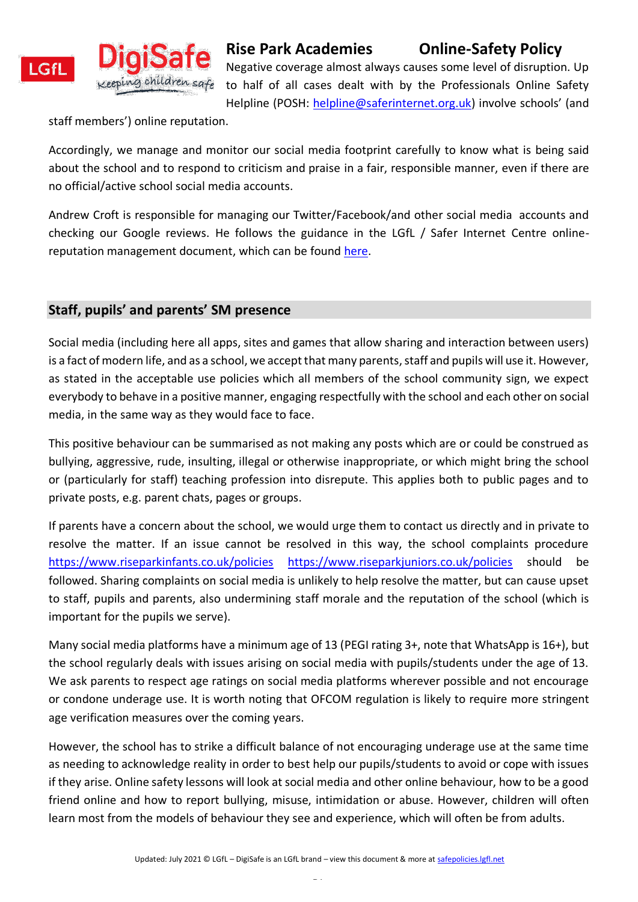



staff members') online reputation.

Accordingly, we manage and monitor our social media footprint carefully to know what is being said about the school and to respond to criticism and praise in a fair, responsible manner, even if there are no official/active school social media accounts.

Andrew Croft is responsible for managing our Twitter/Facebook/and other social media accounts and checking our Google reviews. He follows the guidance in the LGfL / Safer Internet Centre onlinereputation management document, which can be found [here.](https://static.lgfl.net/LgflNet/downloads/online-safety/LGfL-OS-Advice-Online-Reputation-Managment-for-Schools.pdf)

## <span id="page-30-0"></span>**Staff, pupils' and parents' SM presence**

Social media (including here all apps, sites and games that allow sharing and interaction between users) is a fact of modern life, and as a school, we accept that many parents, staff and pupils will use it. However, as stated in the acceptable use policies which all members of the school community sign, we expect everybody to behave in a positive manner, engaging respectfully with the school and each other on social media, in the same way as they would face to face.

This positive behaviour can be summarised as not making any posts which are or could be construed as bullying, aggressive, rude, insulting, illegal or otherwise inappropriate, or which might bring the school or (particularly for staff) teaching profession into disrepute. This applies both to public pages and to private posts, e.g. parent chats, pages or groups.

If parents have a concern about the school, we would urge them to contact us directly and in private to resolve the matter. If an issue cannot be resolved in this way, the school complaints procedure <https://www.riseparkinfants.co.uk/policies> <https://www.riseparkjuniors.co.uk/policies> should be followed. Sharing complaints on social media is unlikely to help resolve the matter, but can cause upset to staff, pupils and parents, also undermining staff morale and the reputation of the school (which is important for the pupils we serve).

Many social media platforms have a minimum age of 13 (PEGI rating 3+, note that WhatsApp is 16+), but the school regularly deals with issues arising on social media with pupils/students under the age of 13. We ask parents to respect age ratings on social media platforms wherever possible and not encourage or condone underage use. It is worth noting that OFCOM regulation is likely to require more stringent age verification measures over the coming years.

However, the school has to strike a difficult balance of not encouraging underage use at the same time as needing to acknowledge reality in order to best help our pupils/students to avoid or cope with issues if they arise. Online safety lessons will look at social media and other online behaviour, how to be a good friend online and how to report bullying, misuse, intimidation or abuse. However, children will often learn most from the models of behaviour they see and experience, which will often be from adults.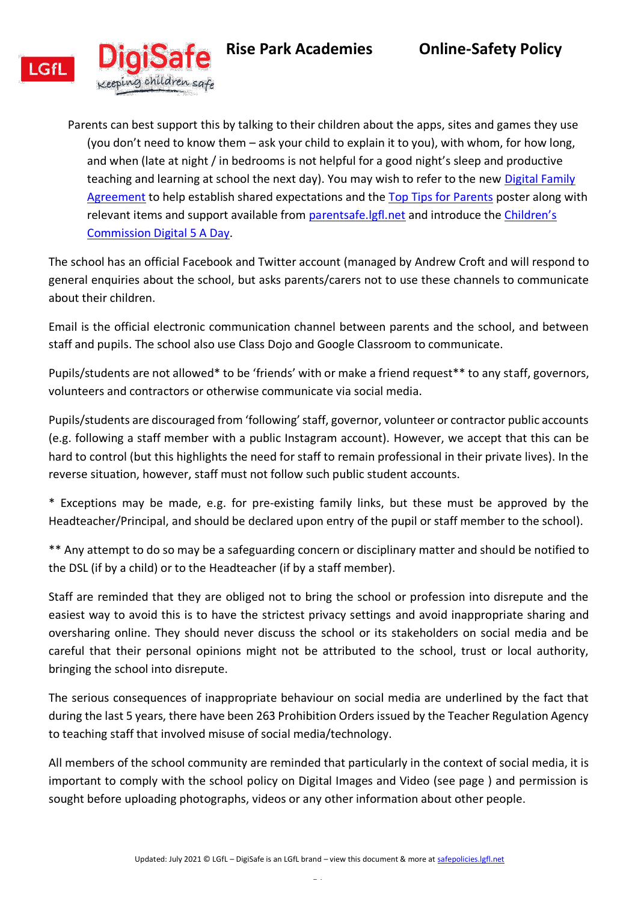



Parents can best support this by talking to their children about the apps, sites and games they use (you don't need to know them – ask your child to explain it to you), with whom, for how long, and when (late at night / in bedrooms is not helpful for a good night's sleep and productive teaching and learning at school the next day). You may wish to refer to the new Digital Family [Agreement](https://assets.publishing.service.gov.uk/government/uploads/system/uploads/attachment_data/file/947546/Sharing_nudes_and_semi_nudes_how_to_respond_to_an_incident_Summary_V2.pdf) to help establish shared expectations and the [Top Tips for Parents](https://static.lgfl.net/LgflNet/downloads/digisafe/Parent-Top-Tips-Safe-Online-Corona.pdf) poster along with relevant items and support available from [parentsafe.lgfl.net](https://parentsafe.lgfl.net/) and introduce the [Children's](https://www.childrenscommissioner.gov.uk/our-work/digital/5-a-day/)  [Commission Digital 5 A Day.](https://www.childrenscommissioner.gov.uk/our-work/digital/5-a-day/)

The school has an official Facebook and Twitter account (managed by Andrew Croft and will respond to general enquiries about the school, but asks parents/carers not to use these channels to communicate about their children.

Email is the official electronic communication channel between parents and the school, and between staff and pupils. The school also use Class Dojo and Google Classroom to communicate.

Pupils/students are not allowed\* to be 'friends' with or make a friend request\*\* to any staff, governors, volunteers and contractors or otherwise communicate via social media.

Pupils/students are discouraged from 'following' staff, governor, volunteer or contractor public accounts (e.g. following a staff member with a public Instagram account). However, we accept that this can be hard to control (but this highlights the need for staff to remain professional in their private lives). In the reverse situation, however, staff must not follow such public student accounts.

\* Exceptions may be made, e.g. for pre-existing family links, but these must be approved by the Headteacher/Principal, and should be declared upon entry of the pupil or staff member to the school).

\*\* Any attempt to do so may be a safeguarding concern or disciplinary matter and should be notified to the DSL (if by a child) or to the Headteacher (if by a staff member).

Staff are reminded that they are obliged not to bring the school or profession into disrepute and the easiest way to avoid this is to have the strictest privacy settings and avoid inappropriate sharing and oversharing online. They should never discuss the school or its stakeholders on social media and be careful that their personal opinions might not be attributed to the school, trust or local authority, bringing the school into disrepute.

The serious consequences of inappropriate behaviour on social media are underlined by the fact that during the last 5 years, there have been 263 Prohibition Orders issued by the Teacher Regulation Agency to teaching staff that involved misuse of social media/technology.

All members of the school community are reminded that particularly in the context of social media, it is important to comply with the school policy on Digital Images and Video (see page ) and permission is sought before uploading photographs, videos or any other information about other people.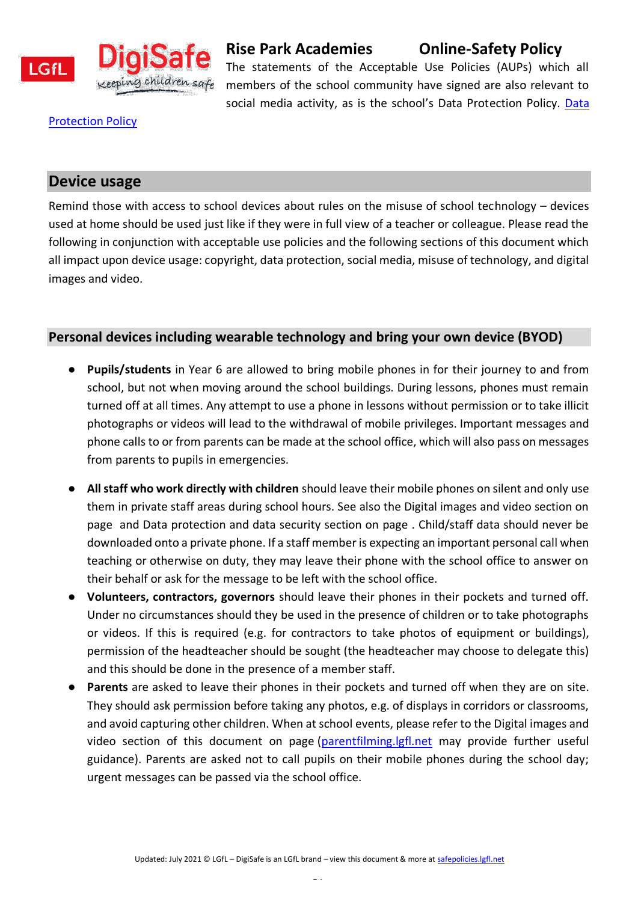

# **Rise Park Academies Online-Safety Policy**

The statements of the Acceptable Use Policies (AUPs) which all members of the school community have signed are also relevant to social media activity, as is the school's Data Protection Policy. [Data](https://9d82e839-e0a8-47ed-8e15-17b0791865a7.filesusr.com/ugd/249a54_987b29d075a544e4b1bdedaa42d1a6d8.pdf) 

#### **[Protection Policy](https://9d82e839-e0a8-47ed-8e15-17b0791865a7.filesusr.com/ugd/249a54_987b29d075a544e4b1bdedaa42d1a6d8.pdf)**

### <span id="page-32-0"></span>**Device usage**

Remind those with access to school devices about rules on the misuse of school technology – devices used at home should be used just like if they were in full view of a teacher or colleague. Please read the following in conjunction with acceptable use policies and the following sections of this document which all impact upon device usage: copyright, data protection, social media, misuse of technology, and digital images and video.

#### <span id="page-32-1"></span>**Personal devices including wearable technology and bring your own device (BYOD)**

- **Pupils/students** in Year 6 are allowed to bring mobile phones in for their journey to and from school, but not when moving around the school buildings. During lessons, phones must remain turned off at all times. Any attempt to use a phone in lessons without permission or to take illicit photographs or videos will lead to the withdrawal of mobile privileges. Important messages and phone calls to or from parents can be made at the school office, which will also pass on messages from parents to pupils in emergencies.
- **All staff who work directly with children** should leave their mobile phones on silent and only use them in private staff areas during school hours. See also the Digital images and video section on page and Data protection and data security section on page . Child/staff data should never be downloaded onto a private phone. If a staff member is expecting an important personal call when teaching or otherwise on duty, they may leave their phone with the school office to answer on their behalf or ask for the message to be left with the school office.
- **Volunteers, contractors, governors** should leave their phones in their pockets and turned off. Under no circumstances should they be used in the presence of children or to take photographs or videos. If this is required (e.g. for contractors to take photos of equipment or buildings), permission of the headteacher should be sought (the headteacher may choose to delegate this) and this should be done in the presence of a member staff.
- **Parents** are asked to leave their phones in their pockets and turned off when they are on site. They should ask permission before taking any photos, e.g. of displays in corridors or classrooms, and avoid capturing other children. When at school events, please refer to the Digital images and video section of this document on page [\(parentfilming.lgfl.net](https://parentfilming.lgfl.net/) may provide further useful guidance). Parents are asked not to call pupils on their mobile phones during the school day; urgent messages can be passed via the school office.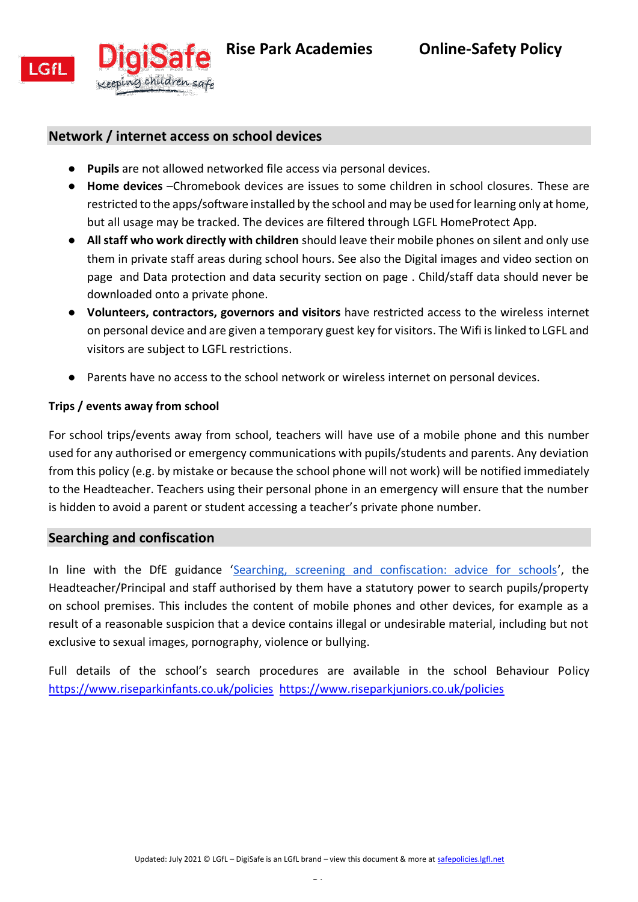

### **Network / internet access on school devices**

- <span id="page-33-0"></span>● **Pupils** are not allowed networked file access via personal devices.
- **Home devices** –Chromebook devices are issues to some children in school closures. These are restricted to the apps/software installed by the school and may be used for learning only at home, but all usage may be tracked. The devices are filtered through LGFL HomeProtect App.
- **All staff who work directly with children** should leave their mobile phones on silent and only use them in private staff areas during school hours. See also the Digital images and video section on page and Data protection and data security section on page . Child/staff data should never be downloaded onto a private phone.
- **Volunteers, contractors, governors and visitors** have restricted access to the wireless internet on personal device and are given a temporary guest key for visitors. The Wifi is linked to LGFL and visitors are subject to LGFL restrictions.
- <span id="page-33-1"></span>● Parents have no access to the school network or wireless internet on personal devices.

#### **Trips / events away from school**

For school trips/events away from school, teachers will have use of a mobile phone and this number used for any authorised or emergency communications with pupils/students and parents. Any deviation from this policy (e.g. by mistake or because the school phone will not work) will be notified immediately to the Headteacher. Teachers using their personal phone in an emergency will ensure that the number is hidden to avoid a parent or student accessing a teacher's private phone number.

#### <span id="page-33-2"></span>**Searching and confiscation**

In line with the DfE guidance '[Searching, screening and confiscation: advice for schools](https://assets.publishing.service.gov.uk/government/uploads/system/uploads/attachment_data/file/674416/Searching_screening_and_confiscation.pdf)', the Headteacher/Principal and staff authorised by them have a statutory power to search pupils/property on school premises. This includes the content of mobile phones and other devices, for example as a result of a reasonable suspicion that a device contains illegal or undesirable material, including but not exclusive to sexual images, pornography, violence or bullying.

Full details of the school's search procedures are available in the school Behaviour Policy <https://www.riseparkinfants.co.uk/policies><https://www.riseparkjuniors.co.uk/policies>